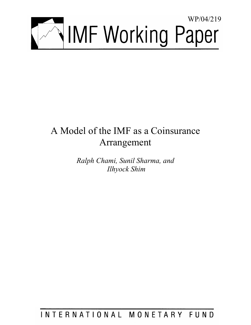

# A Model of the IMF as a Coinsurance Arrangement

*Ralph Chami, Sunil Sharma, and Ilhyock Shim* 

# INTERNATIONAL MONETARY FUND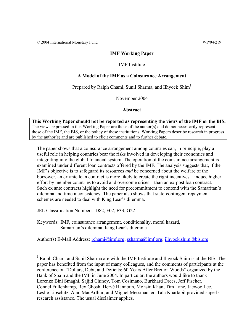© 2004 International Monetary Fund WP/04/219

## **IMF Working Paper**

## IMF Institute

## **A Model of the IMF as a Coinsurance Arrangement**

Prepared by Ralph Chami, Sunil Sharma, and Ilhyock Shim<sup>1</sup>

November 2004

## **Abstract**

**This Working Paper should not be reported as representing the views of the IMF or the BIS.** The views expressed in this Working Paper are those of the author(s) and do not necessarily represent those of the IMF, the BIS, or the policy of these institutions. Working Papers describe research in progress by the author(s) and are published to elicit comments and to further debate.

The paper shows that a coinsurance arrangement among countries can, in principle, play a useful role in helping countries bear the risks involved in developing their economies and integrating into the global financial system. The operation of the coinsurance arrangement is examined under different loan contracts offered by the IMF. The analysis suggests that, if the IMF's objective is to safeguard its resources *and* be concerned about the welfare of the borrower, an ex ante loan contract is more likely to create the right incentives—induce higher effort by member countries to avoid and overcome crises—than an ex-post loan contract. Such ex ante contracts highlight the need for precommitment to contend with the Samaritan's dilemma and time inconsistency. The paper also shows that state-contingent repayment schemes are needed to deal with King Lear's dilemma.

JEL Classification Numbers: D82, F02, F33, G22

Keywords: IMF, coinsurance arrangement, conditionality, moral hazard, Samaritan's dilemma, King Lear's dilemma

Author(s) E-Mail Address: rchami@imf.org; ssharma@imf.org; ilhyock.shim@bis.org

<sup>&</sup>lt;sup>1</sup> Ralph Chami and Sunil Sharma are with the IMF Institute and Ilhyock Shim is at the BIS. The paper has benefited from the input of many colleagues, and the comments of participants at the conference on "Dollars, Debt, and Deficits: 60 Years After Bretton Woods" organized by the Bank of Spain and the IMF in June 2004. In particular, the authors would like to thank Lorenzo Bini Smaghi, Sajjid Chinoy, Tom Cosimano, Burkhard Drees, Jeff Fischer, Connel Fullenkamp, Rex Ghosh, Hervé Hannoun, Mohsin Khan, Tim Lane, Jaewoo Lee, Leslie Lipschitz, Alan MacArthur, and Miguel Messmacher. Tala Khartabil provided superb research assistance. The usual disclaimer applies.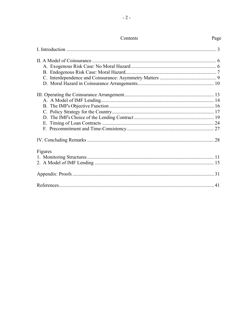|         | 28 |
|---------|----|
| Figures |    |
|         |    |
|         |    |
|         |    |
|         | 41 |

## Page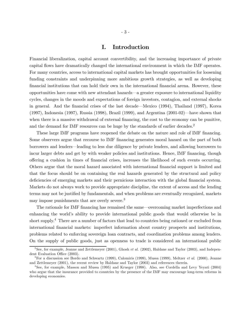## I. Introduction

Financial liberalization, capital account convertibility, and the increasing importance of private capital flows have dramatically changed the international environment in which the IMF operates. For many countries, access to international capital markets has brought opportunities for loosening funding constraints and underpinning more ambitious growth strategies, as well as developing financial institutions that can hold their own in the international financial arena. However, these opportunities have come with new attendant hazards–a greater exposure to international liquidity cycles, changes in the moods and expectations of foreign investors, contagion, and external shocks in general. And the financial crises of the last decade–Mexico (1994), Thailand (1997), Korea (1997), Indonesia (1997), Russia (1998), Brazil (1999), and Argentina (2001-02)–have shown that when there is a massive withdrawal of external financing, the cost to the economy can be punitive, and the demand for IMF resources can be huge by the standards of earlier decades.<sup>2</sup>

These large IMF programs have reopened the debate on the nature and role of IMF financing. Some observers argue that recourse to IMF financing generates moral hazard on the part of both borrowers and lenders–leading to less due diligence by private lenders, and allowing borrowers to incur larger debts and get by with weaker policies and institutions. Hence, IMF financing, though offering a cushion in times of financial crises, increases the likelihood of such events occurring. Others argue that the moral hazard associated with international financial support is limited and that the focus should be on containing the real hazards generated by the structural and policy deficiencies of emerging markets and their pernicious interaction with the global financial system. Markets do not always work to provide appropriate discipline, the extent of access and the lending terms may not be justified by fundamentals, and when problems are eventually recognized, markets may impose punishments that are overly severe.<sup>3</sup>

The rationale for IMF financing has remained the same–overcoming market imperfections and enhancing the world's ability to provide international public goods that would otherwise be in short supply.<sup>4</sup> There are a number of factors that lead to countries being rationed or excluded from international financial markets: imperfect information about country prospects and institutions, problems related to enforcing sovereign loan contracts, and coordination problems among lenders. On the supply of public goods, just as openness to trade is considered an international public

 $2$ See, for example, Jeanne and Zettlemeyer (2001), Ghosh et al. (2002), Haldane and Taylor (2003), and Independent Evaluation Office (2003).

 ${}^{3}$  For a discussion see Bordo and Schwartz (1999), Calomiris (1999), Mussa (1999), Meltzer *et al.* (2000), Jeanne and Zettlemeyer (2001), the recent review by Haldane and Taylor (2003) and references therein.

<sup>4</sup>See, for example, Masson and Mussa (1995) and Krueger (1998). Also, see Cordella and Levy Yeyati (2004) who argue that the insurance provided to countries by the presence of the IMF may encourage long-term reforms in developing economies.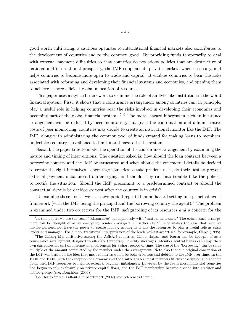good worth cultivating, a cautious openness to international financial markets also contributes to the development of countries and to the common good. By providing funds temporarily to deal with external payment difficulties so that countries do not adopt policies that are destructive of national and international prosperity, the IMF supplements private markets when necessary, and helps countries to become more open to trade and capital. It enables countries to bear the risks associated with reforming and developing their financial systems and economies, and opening them to achieve a more efficient global allocation of resources.

This paper uses a stylized framework to examine the role of an IMF-like institution in the world financial system. First, it shows that a coinsurance arrangement among countries can, in principle, play a useful role in helping countries bear the risks involved in developing their economies and becoming part of the global financial system.  $5\,6\,$  The moral hazard inherent in such an insurance arrangement can be reduced by peer monitoring, but given the coordination and administrative costs of peer monitoring, countries may decide to create an institutional monitor like the IMF. The IMF, along with administering the common pool of funds created for making loans to members, undertakes country surveillance to limit moral hazard in the system.

Second, the paper tries to model the operation of the coinsurance arrangement by examining the nature and timing of interventions. The question asked is: how should the loan contract between a borrowing country and the IMF be structured and when should the contractual details be decided to create the right incentives–encourage countries to take prudent risks, do their best to prevent external payment imbalances from emerging, and should they run into trouble take the policies to rectify the situation. Should the IMF precommit to a predetermined contract or should the contractual details be decided ex post after the country is in crisis?

To examine these issues, we use a two-period repeated moral hazard setting in a principal-agent framework (with the IMF being the principal and the borrowing country the agent).7 The problem is examined under two objectives for the IMF: safeguarding of its resources and a concern for the

<sup>&</sup>lt;sup>5</sup>In this paper, we use the term "coinsurance" synonymously with "mutual insurance." The coinsurance arrangement can be thought of as an emergency lender envisaged in Fischer (1999), who makes the case that such an institution need not have the power to create money, as long as it has the resources to play a useful role as crisis lender and manager. For a more traditional interpretation of the lender-of-last-resort see, for example, Capie (1998).

<sup>&</sup>lt;sup>6</sup>The Chiang Mai Intitiative among the ASEAN countries, China, Japan, and Korea can be thought of as a coinsurance arrangement designed to alleviate temporary liquidity shortages. Member central banks can swap their own currencies for certain international currencies for a short period of time. The size of the "borrowing" can be some multiple of the amount committed by the member under the arrangement. Note also that the original conception of the IMF was based on the idea that most countries would be both creditors and debtors to the IMF over time. In the 1950s and 1960s, with the exception of Germany and the United States, most members fit this description and at some point used IMF resources to help fix external payment imbalances. However, by the 1980s most industrial countries had begun to rely exclusively on private capital flows, and the IMF membership became divided into creditor and debtor groups (see, Boughton (2004)).

<sup>&</sup>lt;sup>7</sup>See, for example, Laffont and Martimort  $(2002)$  and references therein.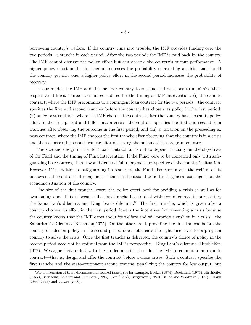borrowing country's welfare. If the country runs into trouble, the IMF provides funding over the two periods–a tranche in each period. After the two periods the IMF is paid back by the country. The IMF cannot observe the policy effort but can observe the country's output performance. A higher policy effort in the first period increases the probability of avoiding a crisis, and should the country get into one, a higher policy effort in the second period increases the probability of recovery.

In our model, the IMF and the member country take sequential decisions to maximize their respective utilities. Three cases are considered for the timing of IMF intervention: (i) the ex ante contract, where the IMF precommits to a contingent loan contract for the two periods–the contract specifies the first and second tranches before the country has chosen its policy in the first period; (ii) an ex post contract, where the IMF chooses the contract after the country has chosen its policy effort in the first period and fallen into a crisis—the contract specifies the first and second loan tranches after observing the outcome in the first period; and (iii) a variation on the preceeding ex post contract, where the IMF chooses the first tranche after observing that the country is in a crisis and then chooses the second tranche after observing the output of the program country.

The size and design of the IMF loan contract turns out to depend crucially on the objectives of the Fund and the timing of Fund intervention. If the Fund were to be concerned only with safeguarding its resources, then it would demand full repayment irrespective of the country's situation. However, if in addition to safeguarding its resources, the Fund also cares about the welfare of its borrowers, the contractual repayment scheme in the second period is in general contingent on the economic situation of the country.

The size of the first tranche lowers the policy effort both for avoiding a crisis as well as for overcoming one. This is because the first tranche has to deal with two dilemmas in our setting, the Samaritan's dilemma and King Lear's dilemma.8 The first tranche, which is given after a country chooses its effort in the first period, lowers the incentives for preventing a crisis because the country knows that the IMF cares about its welfare and will provide a cushion in a crisis–the Samaritan's Dilemma (Buchanan,1975). On the other hand, providing the first tranche before the country decides on policy in the second period does not create the right incentives for a program country to solve the crisis. Once the first tranche is delivered, the country's choice of policy in the second period need not be optimal from the IMF's perspective–King Lear's dilemma (Hirshleifer, 1977). We argue that to deal with these dilemmas it is best for the IMF to commit to an ex ante contract—that is, design and offer the contract before a crisis arises. Such a contract specifies the first tranche and the state-contingent second tranche, penalizing the country for low output, but

 $8$  For a discussion of these dilemmas and related issues, see for example, Becker (1974), Buchanan (1975), Hirshleifer (1977), Bernheim, Shleifer and Summers (1985), Cox (1987), Bergstrom (1989), Bruce and Waldman (1990), Chami (1996, 1998) and Jurges (2000).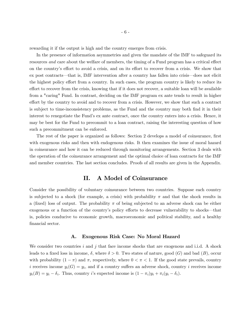rewarding it if the output is high and the country emerges from crisis.

In the presence of information asymmetries and given the mandate of the IMF to safeguard its resources and care about the welfare of members, the timing of a Fund program has a critical effect on the country's effort to avoid a crisis, and on its effort to recover from a crisis. We show that ex post contracts–that is, IMF intervention after a country has fallen into crisis–does not elicit the highest policy effort from a country. In such cases, the program country is likely to reduce its effort to recover from the crisis, knowing that if it does not recover, a suitable loan will be available from a "caring" Fund. In contrast, deciding on the IMF program ex ante tends to result in higher effort by the country to avoid and to recover from a crisis. However, we show that such a contract is subject to time-inconsistency problems, as the Fund and the country may both find it in their interest to renegotiate the Fund's ex ante contract, once the country enters into a crisis. Hence, it may be best for the Fund to precommit to a loan contract, raising the interesting question of how such a precommitment can be enforced.

The rest of the paper is organized as follows: Section 2 develops a model of coinsurance, first with exogenous risks and then with endogenous risks. It then examines the issue of moral hazard in coinsurance and how it can be reduced through monitoring arrangements. Section 3 deals with the operation of the coinsurance arrangement and the optimal choice of loan contracts for the IMF and member countries. The last section concludes. Proofs of all results are given in the Appendix.

## II. A Model of Coinsurance

Consider the possibility of voluntary coinsurance between two countries. Suppose each country is subjected to a shock (for example, a crisis) with probability  $\pi$  and that the shock results in a (fixed) loss of output. The probability  $\pi$  of being subjected to an adverse shock can be either exogenous or a function of the country's policy efforts to decrease vulnerability to shocks—that is, policies conducive to economic growth, macroeconomic and political stability, and a healthy financial sector.

#### A. Exogenous Risk Case: No Moral Hazard

We consider two countries i and j that face income shocks that are exogenous and i.i.d. A shock leads to a fixed loss in income,  $\delta$ , where  $\delta > 0$ . Two states of nature, good (G) and bad (B), occur with probability  $(1 - \pi)$  and  $\pi$ , respectively, where  $0 < \pi < 1$ . If the good state prevails, country i receives income  $y_i(G) = y_i$ , and if a country suffers an adverse shock, country i receives income  $y_i(B) = y_i - \delta_i$ . Thus, country *i*'s expected income is  $(1 - \pi_i)y_i + \pi_i(y_i - \delta_i)$ .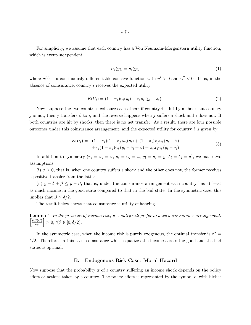For simplicity, we assume that each country has a Von Neumann-Morgenstern utility function, which is event-independent:

$$
U_i(y_i) = u_i(y_i) \tag{1}
$$

where  $u(\cdot)$  is a continuously differentiable concave function with  $u' > 0$  and  $u'' < 0$ . Thus, in the absence of coinsurance, country  $i$  receives the expected utility

$$
E(U_i) = (1 - \pi_i)u_i(y_i) + \pi_i u_i (y_i - \delta_i).
$$
\n(2)

Now, suppose the two countries coinsure each other: if country  $i$  is hit by a shock but country j is not, then j transfers  $\beta$  to i, and the reverse happens when j suffers a shock and i does not. If both countries are hit by shocks, then there is no net transfer. As a result, there are four possible outcomes under this coinsurance arrangement, and the expected utility for country  $i$  is given by:

$$
E(U_i) = (1 - \pi_i)(1 - \pi_j)u_i(y_i) + (1 - \pi_i)\pi_j u_i (y_i - \beta) + \pi_i(1 - \pi_j)u_i (y_i - \delta_i + \beta) + \pi_i \pi_j u_i (y_i - \delta_i)
$$
(3)

In addition to symmetry  $(\pi_i = \pi_j = \pi, u_i = u_j = u, y_i = y_j = y, \delta_i = \delta_j = \delta)$ , we make two assumptions:

(i)  $\beta \geq 0$ , that is, when one country suffers a shock and the other does not, the former receives a positive transfer from the latter;

(ii)  $y - \delta + \beta \leq y - \beta$ , that is, under the coinsurance arrangement each country has at least as much income in the good state compared to that in the bad state. In the symmetric case, this implies that  $\beta \leq \delta/2$ .

The result below shows that coinsurance is utility enhancing.

Lemma 1 In the presence of income risk, a country will prefer to have a coinsurance arrangement:  $\left\lceil \frac{\partial E(U)}{\partial \beta} \right\rceil > 0, \, \forall \beta \in [0, \delta/2).$ 

In the symmetric case, when the income risk is purely exogenous, the optimal transfer is  $\beta^* =$  $\delta/2$ . Therefore, in this case, coinsurance which equalizes the income across the good and the bad states is optimal.

#### B. Endogenous Risk Case: Moral Hazard

Now suppose that the probability  $\pi$  of a country suffering an income shock depends on the policy effort or actions taken by a country. The policy effort is represented by the symbol  $e$ , with higher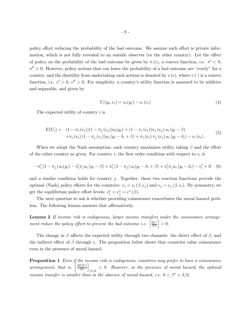policy effort reducing the probability of the bad outcome. We assume such effort is private information, which is not fully revealed to an outside observer (or the other country). Let the effect of policy on the probability of the bad outcome be given by  $\pi(e)$ , a convex function, i.e.  $\pi' < 0$ ,  $\pi'' > 0$ . However, policy actions that can lower the probability of a bad outcome are "costly" for a country, and the disutility from undertaking such actions is denoted by  $v(e)$ , where  $v(\cdot)$  is a convex function, i.e.  $v' > 0$ ,  $v'' > 0$ . For simplicity, a country's utility function is assumed to be additive and separable, and given by

$$
U_i(y_i, e_i) = u_i(y_i) - v_i(e_i)
$$
\n(4)

The expected utility of country  $i$  is

$$
E(U_i) = (1 - \pi_i(e_i))(1 - \pi_j(e_j))u_i(y_i) + (1 - \pi_i(e_i))\pi_j(e_j)u_i(y_i - \beta) + \pi_i(e_i)(1 - \pi_j(e_j))u_i(y_i - \delta_i + \beta) + \pi_i(e_i)\pi_j(e_j)u_i(y_i - \delta_i) - v_i(e_i).
$$
(5)

When we adopt the Nash assumption, each country maximizes utility taking  $\beta$  and the effort of the other country as given. For country i, the first order condition with respect to  $e_i$  is

$$
-\pi'_{i}(1-\pi_{j})u_{i}(y_{i}) - \pi'_{i}\pi_{j}u_{i}(y_{i}-\beta) + \pi'_{i}(1-\pi_{j})u_{i}(y_{i}-\delta_{i}+\beta) + \pi'_{i}\pi_{j}u_{i}(y_{i}-\delta_{i}) - v'_{i} = 0
$$
 (6)

and a similar condition holds for country j. Together, these two reaction functions provide the optimal (Nash) policy efforts for the countries:  $e_i = e_i (\beta, e_j)$  and  $e_j = e_j (\beta, e_i)$ . By symmetry, we get the equilibrium policy effort levels:  $e_i^* = e_j^* = e^*(\beta)$ .

The next question to ask is whether providing coinsurance exacerbates the moral hazard problem. The following lemma answers that affirmatively.

Lemma 2 If income risk is endogenous, larger income transfers under the coinsurance arrangement reduce the policy effort to prevent the bad outcome i.e.  $\left[\frac{\partial e^*}{\partial \beta}\right] < 0$ .

The change in  $\beta$  affects the expected utility through two channels: the direct effect of  $\beta$ , and the indirect effect of  $\beta$  through e. The proposition below shows that countries value coinsurance even in the presence of moral hazard.

**Proposition 1** Even if the income risk is endogenous, countries may prefer to have a coinsurance arrangement, that is,  $\left[\frac{\partial E(U)}{\partial \beta}\right]_{\beta=0} > 0$  However, in the presence of moral hazard, the optimal income transfer is smaller than in the absence of moral hazard, i.e.  $0 < \beta^* < \delta/2$ .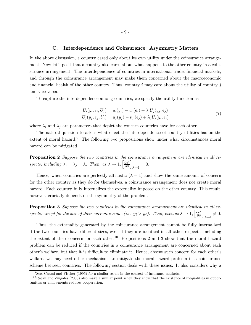#### C. Interdependence and Coinsurance: Asymmetry Matters

In the above discussion, a country cared only about its own utility under the coinsurance arrangement. Now let's posit that a country also cares about what happens to the other country in a coinsurance arrangement. The interdependence of countries in international trade, financial markets, and through the coinsurance arrangement may make them concerned about the macroeconomic and financial health of the other country. Thus, country  $i$  may care about the utility of country  $j$ and vice versa.

To capture the interdependence among countries, we specify the utility function as

$$
U_i(y_i, e_i, U_j) = u_i(y_i) - v_i(e_i) + \lambda_i U_j(y_j, e_j)
$$
  
\n
$$
U_j(y_j, e_j, U_i) = u_j(y_j) - v_j(e_j) + \lambda_j U_i(y_i, e_i)
$$
\n(7)

where  $\lambda_i$  and  $\lambda_j$  are parameters that depict the concern countries have for each other.

The natural question to ask is what effect the interdependence of country utilities has on the extent of moral hazard.<sup>9</sup> The following two propositions show under what circumstances moral hazard can be mitigated.

Proposition 2 Suppose the two countries in the coinsurance arrangement are identical in all respects, including  $\lambda_i = \lambda_j = \lambda$ . Then, as  $\lambda \to 1$ ,  $\left[\frac{\partial e^*}{\partial \beta}\right]_{\lambda \to 1} = 0$ .

Hence, when countries are perfectly altruistic  $(\lambda = 1)$  and show the same amount of concern for the other country as they do for themselves, a coinsurance arrangement does not create moral hazard. Each country fully internalizes the externality imposed on the other country. This result, however, crucially depends on the symmetry of the problem.

**Proposition 3** Suppose the two countries in the coinsurance arrangement are identical in all respects, except for the size of their current income (i.e.  $y_i > y_j$ ). Then, even as  $\lambda \to 1$ ,  $\left[\frac{\partial e^*}{\partial \beta}\right]_{\lambda \to 1} \neq 0$ .

Thus, the externality generated by the coinsurance arrangement cannot be fully internalized if the two countries have different sizes, even if they are identical in all other respects, including the extent of their concern for each other.<sup>10</sup> Propositions 2 and 3 show that the moral hazard problem can be reduced if the countries in a coinsurance arrangement are concerned about each other's welfare, but that it is difficult to eliminate it. Hence, absent such concern for each other's welfare, we may need other mechanisms to mitigate the moral hazard problem in a coinsurance scheme between countries. The following section deals with these issues. It also considers why a

 $9$ See, Chami and Fischer (1996) for a similar result in the context of insurance markets.

 $10$ Rajan and Zingales (2000) also make a similar point when they show that the existence of inequalities in opportunities or endowments reduces cooperation.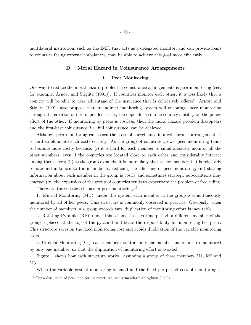multilateral institution, such as the IMF, that acts as a delegated monitor, and can provide loans to countries facing external imbalances, may be able to achieve this goal more efficiently.

#### D. Moral Hazard in Coinsurance Arrangements

#### 1. Peer Monitoring

One way to reduce the moral-hazard problem in coinsurance arrangements is peer monitoring (see, for example, Arnott and Stiglitz (1991)). If countries monitor each other, it is less likely that a country will be able to take advantage of the insurance that is collectively offered. Arnott and Stiglitz (1991) also propose that an indirect monitoring system will encourage peer monitoring through the creation of interdependence, i.e., the dependence of one country's utility on the policy effort of the other. If monitoring by peers is costless, then the moral hazard problem disappears and the first-best coinsurance, i.e. full coinsurance, can be achieved.

Although peer monitoring can lessen the costs of surveillance in a coinsurance arrangement, it is hard to eliminate such costs entirely. As the group of countries grows, peer monitoring tends to become more costly because: (i) it is hard for each member to simultaneously monitor all the other members, even if the countries are located close to each other and considerably interact among themselves; (ii) as the group expands, it is more likely that a new member that is relatively remote and unknown to the incumbents, reducing the efficiency of peer monitoring; (iii) sharing information about each member in the group is costly and sometimes strategic subcoalitions may emerge; (iv) the expansion of the group of countries tends to exacerbate the problem of free riding.

There are three basic schemes in peer monitoring.<sup>11</sup>

1. Mutual Monitoring (MU): under this system each member in the group is simultaneously monitored by all of her peers. This structure is commonly observed in practice. Obviously, when the number of members in a group exceeds two, duplication of monitoring effort is inevitable.

2. Rotating Pyramid (RP): under this scheme, in each time period, a different member of the group is placed at the top of the pyramid and bears the responsibility for monitoring her peers. This structure saves on the fixed monitoring cost and avoids duplication of the variable monitoring costs.

3. Circular Monitoring (CI): each member monitors only one member and is in turn monitored by only one member, so that the duplication of monitoring effort is avoided.

Figure 1 shows how each structure works–assuming a group of three members M1, M2 and M3.

When the variable cost of monitoring is small and the fixed per-period cost of monitoring is

 $11$  For a discussion of peer monitoring structures, see Armendariz de Aghion (1999).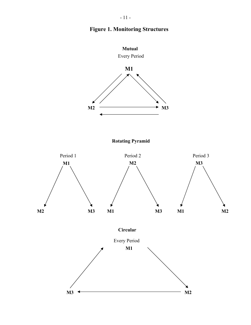

## **Figure 1. Monitoring Structures**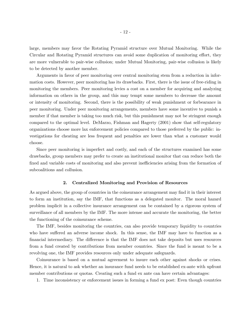large, members may favor the Rotating Pyramid structure over Mutual Monitoring. While the Circular and Rotating Pyramid structures can avoid some duplication of monitoring effort, they are more vulnerable to pair-wise collusion; under Mutual Monitoring, pair-wise collusion is likely to be detected by another member.

Arguments in favor of peer monitoring over central monitoring stem from a reduction in information costs. However, peer monitoring has its drawbacks. First, there is the issue of free-riding in monitoring the members. Peer monitoring levies a cost on a member for acquiring and analyzing information on others in the group, and this may tempt some members to decrease the amount or intensity of monitoring. Second, there is the possibility of weak punishment or forbearance in peer monitoring. Under peer monitoring arrangements, members have some incentive to punish a member if that member is taking too much risk, but this punishment may not be stringent enough compared to the optimal level. DeMarzo, Fishman and Hagerty (2001) show that self-regulatory organizations choose more lax enforcement policies compared to those preferred by the public: investigations for cheating are less frequent and penalties are lower than what a customer would choose.

Since peer monitoring is imperfect and costly, and each of the structures examined has some drawbacks, group members may prefer to create an institutional monitor that can reduce both the fixed and variable costs of monitoring and also prevent inefficiencies arising from the formation of subcoalitions and collusion.

#### 2. Centralized Monitoring and Provision of Resources

As argued above, the group of countries in the coinsurance arrangement may find it in their interest to form an institution, say the IMF, that functions as a delegated monitor. The moral hazard problem implicit in a collective insurance arrangement can be contained by a rigorous system of surveillance of all members by the IMF. The more intense and accurate the monitoring, the better the functioning of the coinsurance scheme.

The IMF, besides monitoring the countries, can also provide temporary liquidity to countries who have suffered an adverse income shock. In this sense, the IMF may have to function as a financial intermediary. The difference is that the IMF does not take deposits but uses resources from a fund created by contributions from member countries. Since the fund is meant to be a revolving one, the IMF provides resources only under adequate safeguards.

Coinsurance is based on a mutual agreement to insure each other against shocks or crises. Hence, it is natural to ask whether an insurance fund needs to be established ex-ante with upfront member contributions or quotas. Creating such a fund ex ante can have certain advantages:

1. Time inconsistency or enforcement issues in forming a fund ex post: Even though countries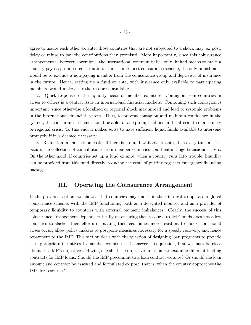agree to insure each other ex ante, those countries that are not subjected to a shock may, ex post, delay or refuse to pay the contributions they promised. More importantly, since this coinsurance arrangement is between sovereigns, the international community has only limited means to make a country pay its promised contribution. Under an ex-post coinsurance scheme, the only punishment would be to exclude a non-paying member from the coinsurance group and deprive it of insurance in the future. Hence, setting up a fund ex ante, with insurance only available to participating members, would make clear the resources available.

2. Quick response to the liquidity needs of member countries: Contagion from countries in crises to others is a central issue in international financial markets. Containing such contagion is important, since otherwise a localized or regional shock may spread and lead to systemic problems in the international financial system. Thus, to prevent contagion and maintain confidence in the system, the coinsurance scheme should be able to take prompt actions in the aftermath of a country or regional crisis. To this end, it makes sense to have sufficient liquid funds available to intervene promptly if it is deemed necessary.

3. Reduction in transaction costs: If there is no fund available ex ante, then every time a crisis occurs the collection of contributions from member countries could entail huge transaction costs. On the other hand, if countries set up a fund ex ante, when a country runs into trouble, liquidity can be provided from this fund directly, reducing the costs of putting together emergency financing packages.

## III. Operating the Coinsurance Arrangement

In the previous section, we showed that countries may find it in their interest to operate a global coinsurance scheme, with the IMF functioning both as a delegated monitor and as a provider of temporary liquidity to countries with external payment imbalances. Clearly, the success of this coinsurance arrangement depends critically on ensuring that recourse to IMF funds does not allow countries to slacken their efforts in making their economies more resistant to shocks, or should crises occur, allow policy makers to postpone measures necessary for a speedy recovery, and hence repayment to the IMF. This section deals with the question of designing loan programs to provide the appropriate incentives to member countries. To answer this question, first we must be clear about the IMF's objectives. Having specified the objective function, we examine different lending contracts for IMF loans. Should the IMF precommit to a loan contract ex ante? Or should the loan amount and contract be assessed and formulated ex post, that is, when the country approaches the IMF for resources?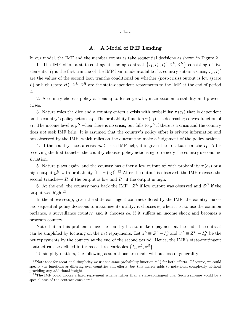#### A. A Model of IMF Lending

In our model, the IMF and the member countries take sequential decisions as shown in Figure 2.

1. The IMF offers a state-contingent lending contract  $\{I_1, I_2^L, I_2^H, Z^L, Z^H\}$  consisting of five elements:  $I_1$  is the first tranche of the IMF loan made available if a country enters a crisis;  $I_2^L, I_2^H$ are the values of the second loan tranche conditional on whether (post-crisis) output is low (state L) or high (state H);  $Z^L$ ,  $Z^H$  are the state-dependent repayments to the IMF at the end of period 2.

2. A country chooses policy actions  $e_1$  to foster growth, macroeconomic stability and prevent crises.

3. Nature roles the dice and a country enters a crisis with probability  $\pi(e_1)$  that is dependent on the country's policy actions  $e_1$ . The probability function  $\pi(e_1)$  is a decreasing convex function of  $e_1$ . The income level is  $y_1^H$  when there is no crisis, but falls to  $y_1^L$  if there is a crisis and the country does not seek IMF help. It is assumed that the country's policy effort is private information and not observed by the IMF, which relies on the outcome to make a judgement of the policy actions.

4. If the country faces a crisis and seeks IMF help, it is given the first loan tranche  $I_1$ . After receiving the first tranche, the country chooses policy actions  $e_2$  to remedy the country's economic situation.

5. Nature plays again, and the country has either a low output  $y_2^L$  with probability  $\pi(e_2)$  or a high output  $y_2^H$  with probability  $[1 - \pi(e_2)]^{12}$  After the output is observed, the IMF releases the second tranche—  $I_2^L$  if the output is low and  $I_2^H$  if the output is high.

6. At the end, the country pays back the IMF— $Z^L$  if low output was observed and  $Z^H$  if the output was high. $^{13}$ 

In the above setup, given the state-contingent contract offered by the IMF, the country makes two sequential policy decisions to maximize its utility: it chooses  $e_1$  when it is, to use the common parlance, a surveillance country, and it chooses  $e_2$ , if it suffers an income shock and becomes a program country.

Note that in this problem, since the country has to make repayment at the end, the contract can be simplified by focusing on the *net* repayments. Let  $z^L \equiv Z^L - I_2^L$  and  $z^H \equiv Z^H - I_2^H$  be the net repayments by the country at the end of the second period. Hence, the IMF's state-contingent contract can be defined in terms of three variables  $\{I_1, z^L, z^H\}$ 

To simplify matters, the following assumptions are made without loss of generality:

<sup>&</sup>lt;sup>12</sup> Note that for notational simplicity we use the same probability function  $\pi(\cdot)$  for both efforts. Of course, we could specify the functions as differing over countries and efforts, but this merely adds to notational complexity without providing any additional insight.

<sup>&</sup>lt;sup>13</sup>The IMF could choose a fixed repayment scheme rather than a state-contingent one. Such a scheme would be a special case of the contract considered.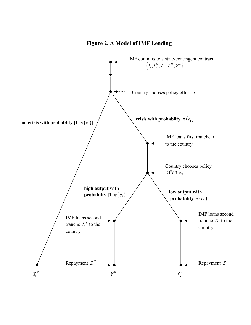## **Figure 2. A Model of IMF Lending**

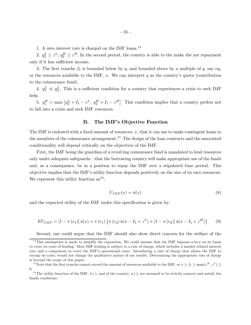1. A zero interest rate is charged on the IMF loans.<sup>14</sup>

2.  $y_2^L \geq z^L$ ;  $y_2^H \geq z^H$ . In the second period, the country is able to the make the net repayment only if it has sufficient income.

3. The first tranche  $I_1$  is bounded below by q, and bounded above by a multiple of q, say  $nq$ , or the resources available to the IMF,  $x$ . We can interpret q as the country's quota (contribution to the coinsurance fund).

4.  $y_1^L \ll y_2^L$ . This is a sufficient condition for a country that experiences a crisis to seek IMF help.

5.  $y_1^H$  > max  $[y_2^L + I_1 - z^L, y_2^H + I_1 - z^H]$  This condition implies that a country prefers not to fall into a crisis and seek IMF resources.

#### B. The IMF's Objective Function

The IMF is endowed with a fixed amount of resources,  $x$ , that it can use to make contingent loans to the members of the coinsurance arrangement.<sup>15</sup> The design of the loan contracts and the associated conditionality will depend critically on the objectives of the IMF.

First, the IMF being the guardian of a revolving coinsurance fund is mandated to lend resources only under adequate safeguards–that the borrowing country will make appropriate use of the funds and, as a consequence, be in a position to repay the IMF over a stipulated time period. This objective implies that the IMF's utility function depends positively on the size of its own resources. We represent this utility function  $as^{16}$ :

$$
U_{IMF}(x) = \hat{u}(x) \tag{8}
$$

and the expected utility of the IMF under this specification is given by:

$$
EU_{IMF} = [1 - \pi (e_1)] \hat{u}(x) + \pi (e_1) \{ \pi (e_2) \hat{u}(x - I_1 + z^L) + [1 - \pi (e_2)] \hat{u}(x - I_1 + z^H) \}
$$
(9)

Second, one could argue that the IMF should also show direct concern for the welfare of the

 $14$ This assumption is made to simplify the exposition. We could assume that the IMF imposes a levy on its loans to cover its costs of lending. Most IMF lending is subject to a rate of charge, which includes a market-related interest rate and a component to cover the IMF's operational costs. Introducing a rate of charge that allows the IMF to recoup its costs, would not change the qualitative nature of our results. Determining the appropriate rate of charge is beyond the scope of this paper.

<sup>&</sup>lt;sup>15</sup>Note that the first tranche cannot exceed the amount of resources available to the IMF, so  $x \ge I_1 \ge \max(z^H, z^L) \ge$ 0.

<sup>&</sup>lt;sup>16</sup>The utility function of the IMF,  $\hat{u}(\cdot)$ , and of the country,  $u(\cdot)$ , are assumed to be strictly concave and satisfy the Inada conditions.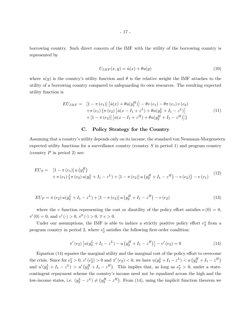borrowing country. Such direct concern of the IMF with the utility of the borrowing country is represented by

$$
U_{IMF}(x,y) = \hat{u}(x) + \theta u(y) \tag{10}
$$

where  $u(y)$  is the country's utility function and  $\theta$  is the relative weight the IMF attaches to the utility of a borrowing country compared to safeguarding its own resources. The resulting expected utility function is

$$
EU_{IMF} = [1 - \pi (e_1)] [\hat{u}(x) + \theta u(y_1^H)] - \theta v (e_1) - \theta \pi (e_1) v (e_2)
$$
  
+ 
$$
\pi (e_1) {\pi (e_2) [\hat{u}(x - I_1 + z^L) + \theta u(y_2^L + I_1 - z^L)]}
$$
  
+ 
$$
[1 - \pi (e_2)] [\hat{u}(x - I_1 + z^H) + \theta u(y_2^H + I_1 - z^H)]
$$
 (11)

### C. Policy Strategy for the Country

Assuming that a country's utility depends only on its income, the standard von Neumann-Morgenstern expected utility functions for a surveillance country (country  $S$  in period 1) and program country (country  $P$  in period 2) are:

$$
EU_S = [1 - \pi(e_1)] u (y_1^H) + \pi(e_1) \{\pi(e_2) u (y_2^L + I_1 - z^L) + [1 - \pi(e_2)] u (y_2^H + I_1 - z^H) - v(e_2)\} - v(e_1)
$$
(12)

$$
EU_P = \pi(e_2) u(y_2^L + I_1 - z^L) + [1 - \pi(e_2)] u (y_2^H + I_1 - z^H) - v(e_2)
$$
\n(13)

where the v function representing the cost or disutility of the policy effort satisfies  $v(0) = 0$ ,  $v'(0) = 0$ , and  $v'(\cdot) > 0$ ,  $v''(\cdot) > 0$ ,  $\forall e > 0$ .

Under our assumptions, the IMF is able to induce a strictly positive policy effort  $e_2^*$  from a program country in period 2, where  $e_2^*$  satisfies the following first-order condition:

$$
\pi'(e_2) \left[ u(y_2^L + I_1 - z^L) - u\left( y_2^H + I_1 - z^H \right) \right] - v'(e_2) = 0 \tag{14}
$$

Equation  $(14)$  equates the marginal utility and the marginal cost of the policy effort to overcome the crisis. Since for  $e_2^* > 0$ ,  $v'(e_2^*) > 0$  and  $\pi'(e_2) < 0$ , we have  $u(y_2^L + I_1 - z^L) < u(y_2^H + I_1 - z^H)$ and  $u'(y_2^L + I_1 - z^L) > u'(y_2^H + I_1 - z^H)$ . This implies that, as long as  $e_2^* > 0$ , under a statecontingent repayment scheme the country's income need not be equalized across the high and the low-income states, i.e.  $(y_2^L - z^L) \neq (y_2^H - z^H)$ . From (14), using the implicit function theorem we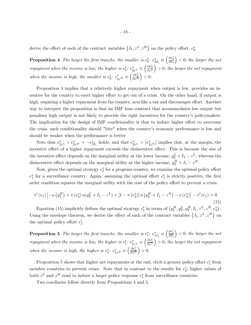derive the effect of each of the contract variables  $\{I_1, z^L, z^H\}$  on the policy effort,  $e_2^*$ .

**Proposition 4** The larger the first tranche, the smaller is  $e_2^*$ :  $e_{2I_1}^* \equiv \left(\frac{\partial e_2^*}{\partial I_1}\right)$  $\Big)$  < 0; the larger the net repayment when the income is low, the higher is  $e_2^*$ :  $e_{2z^L}^* \equiv \left(\frac{\partial e_2^*}{\partial z^L}\right)$  $= 0$ ; the larger the net repayment when the income is high, the smaller is  $e_2^*$ :  $e_{2z}^*$  =  $\left(\frac{\partial e_2^*}{\partial z^H}\right)$  $\Big) < 0.$ 

Proposition 4 implies that a relatively higher repayment when output is low, provides an incentive for the country to exert higher effort to get out of a crisis. On the other hand, if output is high, requiring a higher repayment from the country, acts like a tax and discourages effort. Another way to interpret the proposition is that an IMF loan contract that accommodates low output but penalizes high output is not likely to provide the right incentives for the country's policymakers. The implication for the design of IMF conditionality is that to induce higher effort to overcome the crisis, such conditionality should "bite" when the country's economic performance is low and should be weaker when the performance is better

Note that  $e_{2z}^* + e_{2z}^* = -e_{2I_1}^*$  holds, and that  $e_{2z}^* > |e_{2z}^*|$  implies that, at the margin, the incentive effect of a higher repayment exceeds the disincentive effect. This is because the size of the incentive effect depends on the marginal utility at the lower income,  $y_2^L + I_1 - z^L$ , whereas the disincentive effect depends on the marginal utility at the higher income,  $y_2^H + I_1 - z^H$ .

Now, given the optimal strategy  $e_2^*$  for a program country, we examine the optimal policy effort  $e_1^*$  for a surveillance country. Again, assuming the optimal effort  $e_1^*$  is strictly positive, the first order condition equates the marginal utility with the cost of the policy effort to prevent a crisis:

$$
\pi'(e_1) \left[ -u \left( y_1^H \right) + \pi \left( e_2^* \right) u \left( y_2^L + I_1 - z^L \right) + \left[ 1 - \pi \left( e_2^* \right) \right] u \left( y_2^H + I_1 - z^H \right) - v \left( e_2^* \right) \right] - v'(e_1) = 0
$$
\n(15)

Equation (15) implicitly defines the optimal strategy  $e_1^*$  in terms of  $(y_1^H, y_2^L, y_2^H, I_1, z^L, z^H; e_2^*)$ . Using the envelope theorem, we derive the effect of each of the contract variables  $\{I_1, z^L, z^H\}$  on the optimal policy effort  $e_1^*$ .

**Proposition 5** The larger the first tranche, the smaller is  $e_1^*$ :  $e_{1I_1}^* \equiv \left(\frac{\partial e_1^*}{\partial I_1}\right)$  $\Big) < 0$ ; the larger the net repayment when the income is low, the higher is  $e_1^*$ :  $e_{1z^L}^* \equiv \left(\frac{\partial e_1^*}{\partial z^L}\right)$  $= 0$ ; the larger the net repayment when the income is high, the higher is  $e_1^*$ :  $e_{1z}^* = \left(\frac{\partial e_1^*}{\partial z^H}\right)$  $\Big) > 0.$ 

Proposition 5 shows that higher net repayments at the end, elicit a greater policy effort  $e_1^*$  from member countries to prevent crises. Note that in contrast to the results for  $e_2^*$ , higher values of both  $z^L$  and  $z^H$  tend to induce a larger policy response  $e_1^*$  from surveillance countries.

Two corollaries follow directly from Propositions 4 and 5.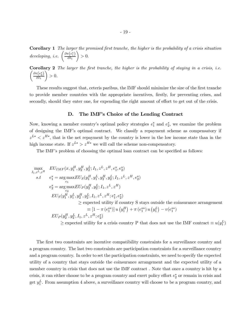Corollary 1 The larger the promised first tranche, the higher is the probability of a crisis situation developing, i.e.  $\left(\frac{\partial \pi(e_1^*)}{\partial L}\right)$  $\partial I_1$  $\setminus$  $> 0.$ 

**Corollary 2** The larger the first tranche, the higher is the probability of staying in a crisis, i.e.  $\int \partial \pi (e_2^*)$  $\partial I_1$  $\setminus$  $>0.$ 

These results suggest that, ceteris paribus, the IMF should minimize the size of the first tranche to provide member countries with the appropriate incentives, firstly, for preventing crises, and secondly, should they enter one, for expending the right amount of effort to get out of the crisis.

#### D. The IMF's Choice of the Lending Contract

Now, knowing a member country's optimal policy strategies  $e_1^*$  and  $e_2^*$ , we examine the problem of designing the IMF's optimal contract. We classify a repayment scheme as compensatory if  $z^{L*} < z^{H*}$ , that is the net repayment by the country is lower in the low income state than in the high income state. If  $z^{L*} > z^{H*}$  we will call the scheme non-compensatory.

The IMF's problem of choosing the optimal loan contract can be specified as follows:

$$
\max_{I_1, z^L, z^H} EU_{IMF}(x, y_1^H, y_2^H, y_2^L; I_1, z^L, z^H, e_1^*, e_2^*)
$$
\n
$$
s.t \t e_1^* = \arg \max E U_S(y_1^H, y_1^L, y_2^H, y_2^L; I_1, z^L, z^H, e_2^*)
$$
\n
$$
e_2^* = \arg \max E U_P(y_2^H, y_2^L; I_1, z^L, z^H)
$$
\n
$$
EU_S(y_1^H, y_1^L, y_2^H, y_2^L, I_1, z^L, z^H; e_1^*, e_2^*)
$$
\n
$$
\geq \text{expected utility if country S stays outside the coinsurance arrangement}
$$
\n
$$
\equiv [1 - \pi (e_1^{**})] u (y_1^H) + \pi (e_1^{**}) u (y_1^L) - v(e_1^{**})
$$
\n
$$
EU_P(y_2^H, y_2^L, I_1, z^L, z^H; e_2^*)
$$
\n
$$
\geq \text{expected utility for a crisis country P that does not use the IMF contract} \equiv u(y_1^L)
$$

The first two constraints are incentive compatibility constraints for a surveillance country and a program country. The last two constraints are participation constraints for a surveillance country and a program country. In order to set the participation constraints, we need to specify the expected utility of a country that stays outside the coinsurance arrangement and the expected utility of a member country in crisis that does not use the IMF contract . Note that once a country is hit by a crisis, it can either choose to be a program country and exert policy effort  $e_2^*$  or remain in crisis and get  $y_1^L$ . From assumption 4 above, a surveillance country will choose to be a program country, and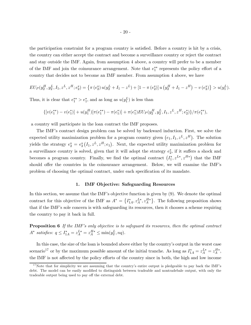the participation constraint for a program country is satisfied. Before a country is hit by a crisis, the country can either accept the contract and become a surveillance country or reject the contract and stay outside the IMF. Again, from assumption 4 above, a country will prefer to be a member of the IMF and join the coinsurance arrangement. Note that  $e_1^{**}$  represents the policy effort of a country that decides not to become an IMF member. From assumption 4 above, we have

$$
EU_P(y_2^H, y_2^L, I_1, z^L, z^H; e_2^*) = \left\{ \pi \left( e_2^* \right) u \left( y_2^L + I_1 - z^L \right) + \left[ 1 - \pi \left( e_2^* \right) \right] u \left( y_2^H + I_1 - z^H \right) - v \left( e_2^* \right) \right\} > u(y_1^L).
$$

Thus, it is clear that  $e_1^{**} > e_1^*$ , and as long as  $u(y_1^L)$  is less than

$$
\{[v(e_1^{**})-v(e_1^*)]+u(y_1^H)[\pi(e_1^{**})-\pi(e_1^*)]+\pi(e_1^*)EUp(y_2^H,y_2^L,I_1,z^L,z^H;e_2^*)\}/\pi(e_1^{**}),
$$

a country will participate in the loan contract the IMF proposes.

The IMF's contract design problem can be solved by backward induction. First, we solve the expected utility maximization problem for a program country given  $(e_1, I_1, z^L, z^H)$ . The solution yields the strategy  $e_2^* = e_2^* (I_1, z^L, z^H; e_1)$ . Next, the expected utility maximization problem for a surveillance country is solved, given that it will adopt the strategy  $e_2^*$ , if it suffers a shock and becomes a program country. Finally, we find the optimal contract  $(I_1^*, z^{L*}, z^{H*})$  that the IMF should offer the countries in the coinsurance arrangement. Below, we will examine the IMF's problem of choosing the optimal contract, under each specification of its mandate.

## 1. IMF Objective: Safeguarding Resources

In this section, we assume that the IMF's objective function is given by (9). We denote the optimal contract for this objective of the IMF as  $A^* = \{I_{1A}^*, z_A^{L*}, z_A^{H*}\}\.$  The following proposition shows that if the IMF's sole concern is with safeguarding its resources, then it chooses a scheme requiring the country to pay it back in full.

**Proposition 6** If the IMF's only objective is to safeguard its resources, then the optimal contract  $A^*$  satisfies:  $q \le I_{1A}^* = z_A^{L*} = z_A^{H*} \le \min(y_2^L, nq)$ .

In this case, the size of the loan is bounded above either by the country's output in the worst case scenario<sup>17</sup> or by the maximum possible amount of the initial tranche. As long as  $I_{1A}^* = z_A^{L*} = z_A^{H*}$ , the IMF is not affected by the policy efforts of the country since in both, the high and low income

 $17$ Note that for simplicity we are assuming that the country's entire output is pledgeable to pay back the IMF's debt. The model can be easily modified to distinguish between tradeable and nontradebale output, with only the tradeable output being used to pay off the external debt.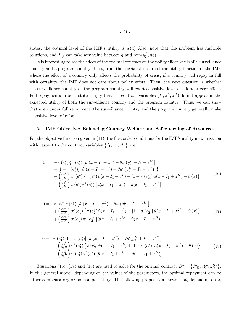states, the optimal level of the IMF's utility is  $\hat{u}(x)$  Also, note that the problem has multiple solutions, and  $I_{1A}^*$  can take any value between q and  $\min(y_2^L, nq)$ .

It is interesting to see the effect of the optimal contract on the policy effort levels of a surveillance country and a program country. First, from the special structure of the utility function of the IMF where the effort of a country only affects the probability of crisis, if a country will repay in full with certainty, the IMF does not care about policy effort. Then, the next question is whether the surveillance country or the program country will exert a positive level of effort or zero effort. Full repayments in both states imply that the contract variables  $(I_1, z^L, z^H)$  do not appear in the expected utility of both the surveillance country and the program country. Thus, we can show that even under full repayment, the surveillance country and the program country generally make a positive level of effort.

#### 2. IMF Objective: Balancing Country Welfare and Safeguarding of Resources

For the objective function given in (11), the first order conditions for the IMF's utility maximization with respect to the contract variables  $\{I_1, z^L, z^H\}$  are:

$$
0 = -\pi (e_1^*) \{ \pi (e_2^*) \left[ \hat{u}'(x - I_1 + z^L) - \theta u'(y_2^L + I_1 - z^L) \right] + [1 - \pi (e_2^*)] \left[ \hat{u}'(x - I_1 + z^H) - \theta u'(y_2^H + I_1 - z^H) \right] \} + \left( \frac{\partial e_1^*}{\partial I_1} \right) \pi' (e_1^*) \{ \pi (e_2^*) \hat{u}(x - I_1 + z^L) + [1 - \pi (e_2^*)] \hat{u}(x - I_1 + z^H) - \hat{u}(x) \} + \left( \frac{\partial e_2^*}{\partial I_1} \right) \pi (e_1^*) \pi' (e_2^*) \left[ \hat{u}(x - I_1 + z^L) - \hat{u}(x - I_1 + z^H) \right]
$$
\n(16)

$$
0 = \pi (e_1^*) \pi (e_2^*) [\hat{u}'(x - I_1 + z^L) - \theta u'(y_2^L + I_1 - z^L)] + \left(\frac{\partial e_1^*}{\partial z^L}\right) \pi' (e_1^*) \left\{ \pi (e_2^*) \hat{u}(x - I_1 + z^L) + [1 - \pi (e_2^*)] \hat{u}(x - I_1 + z^H) - \hat{u}(x) \right\} + \left(\frac{\partial e_2^*}{\partial z^L}\right) \pi (e_1^*) \pi' (e_2^*) [\hat{u}(x - I_1 + z^L) - \hat{u}(x - I_1 + z^H)]
$$
(17)

$$
0 = \pi (e_1^*) [1 - \pi (e_2^*)] [ \hat{u}'(x - I_1 + z^H) - \theta u'(y_2^H + I_1 - z^H) ] + \left( \frac{\partial e_1^*}{\partial z^H} \right) \pi' (e_1^*) \{ \pi (e_2^*) \hat{u}(x - I_1 + z^L) + [1 - \pi (e_2^*)] \hat{u}(x - I_1 + z^H) - \hat{u}(x) \} + \left( \frac{\partial e_2^*}{\partial z^H} \right) \pi (e_1^*) \pi' (e_2^*) [ \hat{u}(x - I_1 + z^L) - \hat{u}(x - I_1 + z^H) ]
$$
\n(18)

Equations (16), (17) and (18) are used to solve for the optimal contract  $B^* = \{I_{1B}^*, z_B^{L*}, z_B^{H*}\}.$ In this general model, depending on the values of the parameters, the optimal repayment can be either compensatory or noncompensatory. The following proposition shows that, depending on  $x$ ,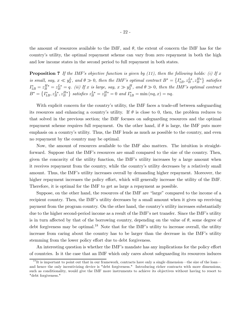the amount of resources available to the IMF, and  $\theta$ , the extent of concern the IMF has for the country's utility, the optimal repayment scheme can vary from zero repayment in both the high and low income states in the second period to full repayment in both states.

**Proposition 7** If the IMF's objective function is given by (11), then the following holds: (i) If  $x$ is small, say,  $x \ll y_2^L$ , and  $\theta \gg 0$ , then the IMF's optimal contract  $B^* = \left\{I_{1B}^*, z_B^{L*}, z_B^{H*}\right\}$  satisfies  $I_{1B}^* = z_B^{H*} = z_B^{L*} = q$ . (ii) If x is large, say,  $x \gg y_2^H$ , and  $\theta \gg 0$ , then the IMF's optimal contract  $B^* = \{I_{1B}^*, z_B^{L*}, z_B^{H*}\}$  satisfies  $z_B^{L*} = z_B^{H*} = 0$  and  $I_{1B}^* = \min(nq, x) = nq$ .

With explicit concern for the country's utility, the IMF faces a trade-off between safeguarding its resources and enhancing a country's utility. If  $\theta$  is close to 0, then, the problem reduces to that solved in the previous section; the IMF focuses on safeguarding resources and the optimal repayment scheme requires full repayment. On the other hand, if  $\theta$  is large, the IMF puts more emphasis on a country's utility. Thus, the IMF lends as much as possible to the country, and even no repayment by the country may be optimal.

Now, the amount of resources available to the IMF also matters. The intuition is straightforward. Suppose that the IMF's resources are small compared to the size of the country. Then, given the concavity of the utility function, the IMF's utility increases by a large amount when it receives repayment from the country, while the country's utility decreases by a relatively small amount. Thus, the IMF's utility increases overall by demanding higher repayment. Moreover, the higher repayment increases the policy effort, which will generally increase the utility of the IMF. Therefore, it is optimal for the IMF to get as large a repayment as possible.

Suppose, on the other hand, the resources of the IMF are "large" compared to the income of a recipient country. Then, the IMF's utility decreases by a small amount when it gives up receiving payment from the program country. On the other hand, the country's utility increases substantially due to the higher second-period income as a result of the IMF's net transfer. Since the IMF's utility is in turn affected by that of the borrowing country, depending on the value of  $\theta$ , some degree of debt forgiveness may be optimal.<sup>18</sup> Note that for the IMF's utility to increase overall, the utility increase from caring about the country has to be larger than the decrease in the IMF's utility stemming from the lower policy effort due to debt forgiveness.

An interesting question is whether the IMF's mandate has any implications for the policy effort of countries. Is it the case that an IMF which only cares about safeguarding its resources induces

 $1<sup>8</sup>$ It is important to point out that in our framework, contracts have only a single dimension—the size of the loan– and hence the only incentivizing device is "debt forgiveness." Introducing richer contracts with more dimensions, such as conditionality, would give the IMF more instruments to achieve its objectives without having to resort to "debt forgiveness."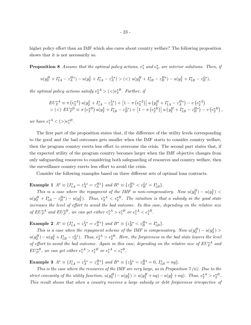higher policy effort than an IMF which also cares about country welfare? The following proposition shows that it is not necessarily so.

**Proposition 8** Assume that the optimal policy actions,  $e_1^*$  and  $e_2^*$ , are interior solutions. Then, if

$$
u(y_2^H + I_{1A}^* - z_A^{H*}) - u(y_2^L + I_{1A}^* - z_A^{L*}) > \text{(<)} u(y_2^H + I_{1B}^* - z_B^{H*}) - u(y_2^L + I_{1B}^* - z_B^{L*}),
$$

the optimal policy actions satisfy  $e_2^{\ast A} > ($ 

$$
EU_P^{*A} \equiv \pi \left( e_2^{*A} \right) u(y_2^L + I_{1A}^* - z_A^{L*}) + \left[ 1 - \pi \left( e_2^{*A} \right) \right] u \left( y_2^H + I_{1A}^* - z_A^{H*} \right) - v \left( e_2^{*A} \right) > \left( \langle \rangle EU_P^{*B} \equiv \pi \left( e_2^{*B} \right) u \left( y_2^L + I_{1B}^* - z_B^{L*} \right) + \left[ 1 - \pi \left( e_2^{*B} \right) \right] u \left( y_2^H + I_{1B}^* - z_B^{H*} \right) - v \left( e_2^{*B} \right) ,
$$

we have  $e_1^*^A < (>)e_1^*^B$ .

The first part of the proposition states that, if the difference of the utility levels corresponding to the good and the bad outcomes gets smaller when the IMF starts to consider country welfare, then the program country exerts less effort to overcome the crisis. The second part states that, if the expected utility of the program country becomes larger when the IMF objective changes from only safeguarding resources to considering both safeguarding of resources and country welfare, then the surveillance country exerts less effort to avoid the crisis.

Consider the following examples based on three different sets of optimal loan contracts.

## **Example 1**  $A^* \equiv \{I_{1A}^* = z_A^{L*} = z_A^{H*}\}\$  and  $B^* \equiv \{z_B^{H*} < z_B^{L*} = I_{1B}^*\}.$

This is a case where the repayment of the IMF is non-compensatory. Now  $u(y_2^H) - u(y_2^L)$  $u(y_2^H + I_{1B}^* - z_B^{H*}) - u(y_2^L)$ . Thus,  $e_2^{*A} < e_2^{*B}$ . The intuition is that a subsidy in the good state increases the level of effort to avoid the bad outcome. In this case, depending on the relative size of  $EU_P^{*A}$  and  $EU_P^{*B}$ , we can get either  $e_1^{*A} > e_1^{*B}$  or  $e_1^{*A} < e_1^{*B}$ .

**Example 2**  $A^* \equiv \{I_{1A}^* = z_A^{L*} = z_A^{H*}\}\$  and  $B^* \equiv \{z_B^{L*} < z_B^{H*} = I_{1B}^*\}.$ 

This is a case when the repayment scheme of the IMF is compensatory. Now  $u(y_2^H) - u(y_2^L)$  $u(y_2^H) - u(y_2^L + I_{1B}^* - z_B^{L*})$ . Thus,  $e_2^{*A} > e_2^{*B}$ . Here, the forgiveness in the bad state lowers the level of effort to avoid the bad outcome. Again in this case, depending on the relative size of  $EU_P^{*A}$  and  $EU_P^{*B}$ , we can get either  $e_1^{*A} > e_1^{*B}$  or  $e_1^{*A} < e_1^{*B}$ .

**Example 3**  $A^* \equiv \{I_{1A}^* = z_A^{L*} = z_A^{H*}\}\$  and  $B^* \equiv \{z_B^{L*} = z_B^{H*} = 0, I_{1B}^* = nq\}.$ 

This is the case where the resources of the IMF are very large, as in Proposition  $\gamma(i)$ . Due to the strict concavity of the utility function,  $u(y_2^H) - u(y_2^L) > u(y_2^H + nq) - u(y_2^L + nq)$ . Thus,  $e_2^*^A > e_2^*^B$ . This result shows that when a country receives a large subsidy or debt forgiveness irrespective of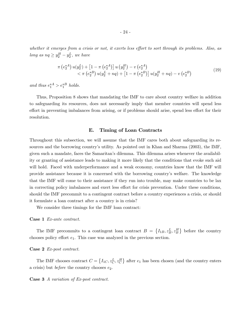whether it emerges from a crisis or not, it exerts less effort to sort through its problems. Also, as long as  $nq \ge y_2^H - y_2^L$ , we have

$$
\pi\left(e_2^{*A}\right)u(y_2^L) + \left[1 - \pi\left(e_2^{*A}\right)\right]u\left(y_2^H\right) - v\left(e_2^{*A}\right) \n< \pi\left(e_2^{*B}\right)u(y_2^L + nq) + \left[1 - \pi\left(e_2^{*B}\right)\right]u(y_2^H + nq) - v\left(e_2^{*B}\right)
$$
\n(19)

and thus  $e_1^*^A > e_1^*^B$  holds.

Thus, Proposition 8 shows that mandating the IMF to care about country welfare in addition to safeguarding its resources, does not necessarily imply that member countries will spend less effort in preventing imbalances from arising, or if problems should arise, spend less effort for their resolution.

#### E. Timing of Loan Contracts

Throughout this subsection, we will assume that the IMF cares both about safeguarding its resources and the borrowing country's utility. As pointed out in Khan and Sharma (2003), the IMF, given such a mandate, faces the Samaritan's dilemma. This dilemma arises whenever the availability or granting of assistance leads to making it more likely that the conditions that evoke such aid will hold. Faced with underperformance and a weak economy, countries know that the IMF will provide assistance because it is concerned with the borrowing country's welfare. The knowledge that the IMF will come to their assistance if they run into trouble, may make countries to be lax in correcting policy imbalances and exert less effort for crisis prevention. Under these conditions, should the IMF precommit to a contingent contract before a country experiences a crisis, or should it formulate a loan contract after a country is in crisis?

We consider three timings for the IMF loan contract:

#### Case 1 Ex-ante contract.

The IMF precommits to a contingent loan contract  $B = \{I_{1B}, z_B^L, z_B^H\}$  before the country chooses policy effort  $e_1$ . This case was analyzed in the previous section.

#### Case 2 Ex-post contract.

The IMF chooses contract  $C = \{I_{1C}, z_C^L, z_C^H\}$  after  $e_1$  has been chosen (and the country enters a crisis) but *before* the country chooses  $e_2$ .

Case 3 A variation of Ex-post contract.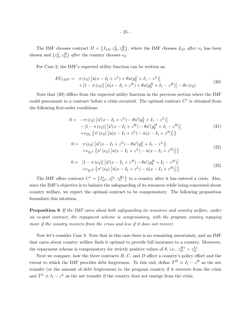The IMF chooses contract  $D = \{I_{1D}, z_D^L, z_D^H\}$ , where the IMF chooses  $I_{1D}$  after  $e_1$  has been chosen and  $(z_D^L, z_D^H)$  after the country chooses  $e_2$ .

For Case 2, the IMF's expected utility function can be written as:

$$
EU_{IMF} = \pi (e_2) [\hat{u}(x - I_1 + z^L) + \theta u(y_2^L + I_1 - z^L)] + [1 - \pi (e_2)] [\hat{u}(x - I_1 + z^H) + \theta u(y_2^H + I_1 - z^H)] - \theta v (e_2)
$$
\n(20)

Note that  $(20)$  differs from the expected utility function in the previous section where the IMF could precommit to a contract before a crisis occurred. The optimal contract  $C^*$  is obtained from the following first-order conditions:

$$
0 = -\pi (e_2) [\hat{u}'(x - I_1 + z^L) - \theta u'(y_2^L + I_1 - z^L)] - [1 - \pi (e_2)] [\hat{u}'(x - I_1 + z^H) - \theta u'(y_2^H + I_1 - z^H)] + e_{2I_1} {\pi'(e_2) [\hat{u}(x - I_1 + z^L) - \hat{u}(x - I_1 + z^H)] }
$$
\n(21)

$$
0 = \pi(e_2) \left[ \hat{u}'(x - I_1 + z^L) - \theta u'(y_2^L + I_1 - z^L) \right] + e_{2z} \left\{ \pi'(e_2) \left[ \hat{u}(x - I_1 + z^L) - \hat{u}(x - I_1 + z^H) \right] \right\}
$$
\n(22)

$$
0 = [1 - \pi (e_2)] [\hat{u}'(x - I_1 + z^H) - \theta u'(y_2^H + I_1 - z^H)]
$$
  
+ 
$$
+ e_{2z^H} {\pi'(e_2) [\hat{u}(x - I_1 + z^L) - \hat{u}(x - I_1 + z^H)] }
$$
 (23)

The IMF offers contract  $C^* = \{I_{1C}^*, z_C^{L*}, z_C^{H*}\}\$  to a country after it has entered a crisis. Also, since the IMF's objective is to balance the safeguarding of its resources while being concerned about country welfare, we expect the optimal contract to be compensatory. The following proposition formalizes this intuition.

**Proposition 9** If the IMF cares about both safeguarding its resources and country welfare, under an ex-post contract, the repayment scheme is compensatory, with the program country repaying more if the country recovers from the crisis and less if it does not recover.

Now let's consider Case 3. Note that in this case there is no remaining uncertainty, and an IMF that cares about country welfare finds it optimal to provide full insurance to a country. Moreover, the repayment scheme is compensatory for strictly positive values of  $\theta$ , i.e.,  $z_D^{H*} > z_D^{L*}$ .

Next we compare, how the three contracts  $B, C$ , and  $D$  affect a country's policy effort and the extent to which the IMF provides debt forgiveness. To this end, define  $T^H \equiv I_1 - z^H$  as the net transfer (or the amount of debt forgiveness) to the program country if it recovers from the crisis and  $T^L \equiv I_1 - z^L$  as the net transfer if the country does not emerge from the crisis.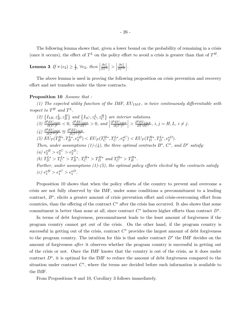The following lemma shows that, given a lower bound on the probability of remaining in a crisis (once it occurs), the effect of  $T^L$  on the policy effort to avoid a crisis is greater than that of  $T^H$ .

**Lemma 3** If 
$$
\pi(e_2) \geq \frac{1}{2}
$$
,  $\forall e_2$ , then  $\left| \frac{\partial e_1^*}{\partial T^L} \right| > \left| \frac{\partial e_1^*}{\partial T^H} \right|$ .

The above lemma is used in proving the following proposition on crisis prevention and recovery effort and net transfers under the three contracts.

#### Proposition 10 Assume that :

(1) The expected utility function of the IMF,  $EU_{IMF}$ , is twice continuously differentiable with respect to  $T^H$  and  $T^L$ .

\n- \n
$$
(\mathcal{Z}) \left\{ I_{1B}, z_B^L, z_B^H \right\}
$$
 and  $\left\{ I_{1C}, z_C^L, z_C^H \right\}$  are interior solutions.\n
\n- \n $(\mathcal{Z}) \frac{\partial^2 EU_{IMF}}{\partial(T^i)^2} < 0, \frac{\partial^2 EU_{IMF}}{\partial T^i \partial T^j} > 0, \text{ and } \left| \frac{\partial^2 EU_{IMF}}{\partial(T^i)^2} \right| > \frac{\partial^2 EU_{IMF}}{\partial T^i \partial T^j}, i, j = H, L, i \neq j.$ \n
\n- \n $(\mathcal{A}) \frac{\partial^2 EU_{IMF}}{\partial(T^H)^2} \approx \frac{\partial^2 EU_{IMF}}{\partial(T^L)^2}.$ \n
\n- \n $(\mathcal{Z}) \frac{\partial^2 EU_{IMF}}{\partial(T^H)^2} \approx \frac{\partial^2 EU_{IMF}}{\partial(T^L)^2}.$ \n
\n- \n $(\mathcal{Z}) \frac{\partial^2 EU_{IMF}}{\partial T^H} \approx \frac{\partial^2 EU_{IF}}{\partial T^H}.$ \n
\n- \n $(\mathcal{Z}) \frac{\partial^2 EU_{IF}}{\partial T^H} = \frac{\partial^2 EU_{IF}}{\partial T^H}.$ \n
\n- \n $(\mathcal{Z}) \frac{\partial^2 V_{IF}}{\partial T^H} = \frac{\partial^2 EU_{IF}}{\partial T^H}.$ \n
\n- \n $(\mathcal{Z}) \frac{\partial^2 V_{IF}}{\partial T^H} = \frac{\partial^2 EU_{IF}}{\partial T^H}.$ \n
\n- \n $(\mathcal{Z}) \frac{\partial^2 V_{IF}}{\partial T^H} = \frac{\partial^2 EU_{IF}}{\partial T^H}.$ \n
\n- \n $(\mathcal{Z}) \frac{\partial^2 V_{IF}}{\partial T^H} = \frac{\partial^2 EU_{IF}}{\partial T^H}.$ \n
\n- \n $(\mathcal{Z}) \frac{\partial^2 V_{IF}}{\partial T^H} = \frac{\partial^2 EU_{IF}}{\partial T^H}.$ \n
\n- \n $$

Proposition 10 shows that when the policy efforts of the country to prevent and overcome a crisis are not fully observed by the IMF, under some conditions a precommitment to a lending contract,  $B^*$ , elicits a greater amount of crisis prevention effort and crisis-overcoming effort from countries, than the offering of the contract  $C^*$  after the crisis has occurred. It also shows that some commitment is better than none at all, since contract  $C^*$  induces higher efforts than contract  $D^*$ .

In terms of debt forgiveness, precommitment leads to the least amount of forgiveness if the program country cannot get out of the crisis. On the other hand, if the program country is successful in getting out of the crisis, contract  $C^*$  provides the largest amount of debt forgiveness to the program country. The intuition for this is that under contract  $D^*$  the IMF decides on the amount of forgiveness after it observes whether the program country is successful in getting out of the crisis or not. Once the IMF knows that the country is out of the crisis, as it does under contract  $D^*$ , it is optimal for the IMF to reduce the amount of debt forgiveness compared to the situation under contract  $C^*$ , where the terms are decided before such information is available to the IMF.

From Propositions 9 and 10, Corollary 3 follows immediately.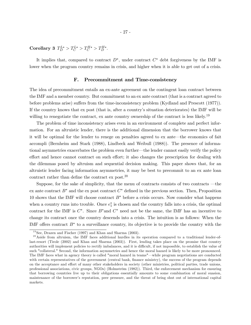Corollary 3  $T_D^{L*} > T_C^{L*} > T_C^{H*} > T_D^{H*}$ .

It implies that, compared to contract  $D^*$ , under contract  $C^*$  debt forgiveness by the IMF is lower when the program country remains in crisis, and higher when it is able to get out of a crisis.

## F. Precommitment and Time-consistency

The idea of precommitment entails an ex-ante agreement on the contingent loan contract between the IMF and a member country. But commitment to an ex ante contract (that is a contract agreed to before problems arise) suffers from the time-inconsistency problem (Kydland and Prescott (1977)). If the country knows that ex post (that is, after a country's situation deteriorates) the IMF will be willing to renegotiate the contract, ex ante country ownership of the contract is less likely.<sup>19</sup>

The problem of time inconsistency arises even in an environment of complete and perfect information. For an altruistic lender, there is the additional dimension that the borrower knows that it will be optimal for the lender to renege on penalties agreed to ex ante–the economics of fait accompli (Bernheim and Stark (1988), Lindbeck and Weibull (1988)). The presence of informational asymmetries exacerbates the problem even further–the lender cannot easily verify the policy effort and hence cannot contract on such effort; it also changes the prescription for dealing with the dilemmas posed by altruism and sequential decision making. This paper shows that, for an altruistic lender facing information asymmetries, it may be best to precommit to an ex ante loan contract rather than define the contract ex post.<sup>20</sup>

Suppose, for the sake of simplicity, that the menu of contracts consists of two contracts –the ex ante contract  $B^*$  and the ex post contract  $C^*$  defined in the previous section. Then, Proposition 10 shows that the IMF will choose contract  $B^*$  before a crisis occurs. Now consider what happens when a country runs into trouble. Once  $e_1^*$  is chosen and the country falls into a crisis, the optimal contract for the IMF is  $C^*$ . Since  $B^*$  and  $C^*$  need not be the same, the IMF has an incentive to change its contract once the country descends into a crisis. The intuition is as follows: When the IMF offers contract  $B^*$  to a surveillance country, its objective is to provide the country with the

 $19$  See, Drazen and Fischer (1997) and Khan and Sharma (2003).

 $^{20}$  Aside from altruism, the IMF faces additional hurdles in its operation compared to a traditional lender-oflast-resort (Tirole (2002) and Khan and Sharma (2003)). First, lending takes place on the promise that country authorities will implement policies to rectify imbalances, and it is difficult, if not impossible, to establish the value of such "collateral." Second, the information asymmetries and hence the moral hazard is likely to be more pronounced. The IMF faces what in agency theory is called "moral hazard in teams"–while program negotiations are conducted with certain representatives of the government (central bank, finance ministry), the success of the program depends on the acceptance and effort of many other stakeholders in society (other ministries, political parties, trade unions, professional associations, civic groups, NGOs) (Holmström (1982)). Third, the enforcement mechanism for ensuring that borrowing countries live up to their obligations essentially amounts to some combination of moral suasion, maintenance of the borrower's reputation, peer pressure, and the threat of being shut out of international capital markets.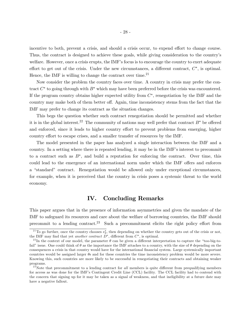incentive to both, prevent a crisis, and should a crisis occur, to expend effort to change course. Thus, the contract is designed to achieve these goals, while giving consideration to the country's welfare. However, once a crisis erupts, the IMF's focus is to encourage the country to exert adequate effort to get out of the crisis. Under the new circumstances, a different contract,  $C^*$ , is optimal. Hence, the IMF is willing to change the contract over time.<sup>21</sup>

Now consider the problem the country faces over time. A country in crisis may prefer the contract  $C^*$  to going through with  $B^*$  which may have been preferred before the crisis was encountered. If the program country obtains higher expected utility from  $C^*$ , renegotiation by the IMF and the country may make both of them better off. Again, time inconsistency stems from the fact that the IMF may prefer to change its contract as the situation changes.

This begs the question whether such contract renegotiation should be permitted and whether it is in the global interest.<sup>22</sup> The community of nations may well prefer that contract  $B^*$  be offered and enforced, since it leads to higher country effort to prevent problems from emerging, higher country effort to escape crises, and a smaller transfer of resources by the IMF.

The model presented in the paper has analyzed a single interaction between the IMF and a country. In a setting where there is repeated lending, it may be in the IMF's interest to precommit to a contract such as  $B^*$ , and build a reputation for enforcing the contract. Over time, this could lead to the emergence of an international norm under which the IMF offers and enforces a "standard" contract. Renegotiation would be allowed only under exceptional circumstances, for example, when it is perceived that the country in crisis poses a systemic threat to the world economy.

## IV. Concluding Remarks

This paper argues that in the presence of information asymmetries and given the mandate of the IMF to safeguard its resources and care about the welfare of borrowing countries, the IMF should precommit to a lending contract.<sup>23</sup> Such a precommitment elicits the right policy effort from

<sup>&</sup>lt;sup>21</sup>To go further, once the country chooses  $e_2^*$ , then depending on whether the country gets out of the crisis or not, the IMF may find that yet another contract  $D^*$ , different from  $C^*$ , is optimal.

<sup>&</sup>lt;sup>22</sup>In the context of our model, the parameter  $\theta$  can be given a different interpretation to capture the "too-big-tofail" issue. One could think of  $\theta$  as the importance the IMF attaches to a country, with the size of  $\theta$  depending on the consequences a crisis in that country would have for the international financial system. Large systemically important countries would be assigned larger  $\theta$ s and for these countries the time inconsistency problem would be more severe. Knowing this, such countries are more likely to be successful in renegotiating their contracts and obtaining weaker programs.

 $^{23}$  Note that precommitment to a lending contract for all members is quite different from prequalifying members for access as was done for the IMF's Contingent Credit Line (CCL) facility. The CCL facility had to contend with the concern that signing up for it may be taken as a signal of weakness, and that ineligibility at a future date may have a negative fallout.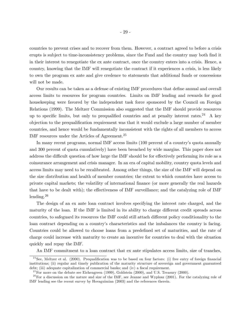countries to prevent crises and to recover from them. However, a contract agreed to before a crisis erupts is subject to time-inconsistency problems, since the Fund and the country may both find it in their interest to renegotiate the ex ante contract, once the country enters into a crisis. Hence, a country, knowing that the IMF will renegotiate the contract if it experiences a crisis, is less likely to own the program ex ante and give credence to statements that additional funds or concessions will not be made.

Our results can be taken as a defense of existing IMF procedures that define annual and overall access limits to resources for program countries. Limits on IMF lending and rewards for good housekeeping were favored by the independent task force sponsored by the Council on Foreign Relations (1999). The Meltzer Commission also suggested that the IMF should provide resources up to specific limits, but only to prequalified countries and at penalty interest rates.<sup>24</sup> A key objection to the prequalification requirement was that it would exclude a large number of member countries, and hence would be fundamentally inconsistent with the rights of all members to access IMF resources under the Articles of Agreement.25

In many recent programs, normal IMF access limits (100 percent of a country's quota annually and 300 percent of quota cumulatively) have been breached by wide margins. This paper does not address the difficult question of how large the IMF should be for effectively performing its role as a coinsurance arrangement and crisis manager. In an era of capital mobility, country quota levels and access limits may need to be recalibrated. Among other things, the size of the IMF will depend on the size distribution and health of member countries; the extent to which countries have access to private capital markets; the volatility of international finance (or more generally the real hazards that have to be dealt with); the effectiveness of IMF surveillance; and the catalyzing role of IMF lending.26

The design of an ex ante loan contract involves specifying the interest rate charged, and the maturity of the loan. If the IMF is limited in its ability to charge different credit spreads across countries, to safeguard its resources the IMF could still attach different policy conditionality to the loan contract depending on a country's characteristics and the imbalances the country is facing. Countries could be allowed to choose loans from a predefined set of maturities, and the rate of charge could increase with maturity to create an incentive for countries to deal with the situation quickly and repay the IMF.

An IMF commitment to a loan contract that ex ante stipulates access limits, size of tranches,

 $24$ See, Meltzer et al. (2000). Prequalification was to be based on four factors: (i) free entry of foreign financial institutions; (ii) regular and timely publication of the maturity structure of sovereign and government guaranteed debt; (iii) adequate capitalization of commercial banks; and (iv) a fiscal requirement.

<sup>&</sup>lt;sup>25</sup> For more on the debate see Eichengreen (1999), Goldstein (2000), and U.S. Treasury (2000).

 $2<sup>6</sup>$  For a discussion on the nature and size of the IMF, see Jeanne and Wyplosz (2001). For the catalyzing role of IMF lending see the recent survey by Hovaguimian (2003) and the references therein.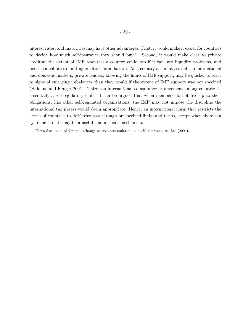interest rates, and maturities may have other advantages. First, it would make it easier for countries to decide how much self-insurance they should buy.<sup>27</sup> Second, it would make clear to private creditors the extent of IMF resources a country could tap if it ran into liquidity problems, and hence contribute to limiting creditor moral hazard. As a country accumulates debt in international and domestic markets, private lenders, knowing the limits of IMF support, may be quicker to react to signs of emerging imbalances than they would if the extent of IMF support was not specified (Haldane and Kruger 2001). Third, an international coinsurance arrangement among countries is essentially a self-regulatory club. It can be argued that when members do not live up to their obligations, like other self-regulated organizations, the IMF may not impose the discipline the international tax payers would deem appropriate. Hence, an international norm that restricts the access of countries to IMF resources through prespecified limits and terms, except when there is a systemic threat, may be a useful commitment mechanism.

 $27$  For a discussion of foreign exchange reserve accumulation and self-insurance, see Lee (2004).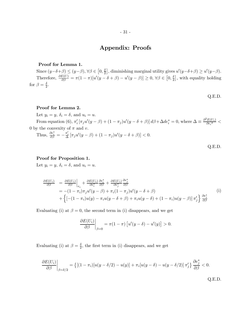## Appendix: Proofs

#### Proof for Lemma 1.

Since  $(y-\delta+\beta) \le (y-\beta), \forall \beta \in [0, \frac{\delta}{2}],$  diminishing marginal utility gives  $u'(y-\delta+\beta) \ge u'(y-\beta)$ . Therefore,  $\frac{\partial E(U)}{\partial \beta} = \pi (1 - \pi) [u'(y - \delta + \beta) - u'(y - \beta)] \ge 0, \forall \beta \in [0, \frac{\delta}{2}]$ , with equality holding for  $\beta = \frac{\delta}{2}$ .

Q.E.D.

Q.E.D.

## Proof for Lemma 2.

Let  $y_i = y, \, \delta_i = \delta$ , and  $u_i = u$ . From equation (6),  $\pi'_i [\pi_j u'(y - \beta) + (1 - \pi_j)u'(y - \delta + \beta)] d\beta + \Delta de_i^* = 0$ , where  $\Delta \equiv \frac{\partial^2 E(U_i)}{\partial e_i^2}$  $\frac{E(U_i)}{\partial e_i^2}$  < 0 by the convexity of  $\pi$  and v. Thus,  $\frac{\partial e_i^*}{\partial \beta} = -\frac{\pi_i'}{\Delta} [\pi_j u'(y-\beta) + (1-\pi_j)u'(y-\delta+\beta)] < 0.$ Q.E.D.

#### Proof for Proposition 1.

Let  $y_i = y, \delta_i = \delta$ , and  $u_i = u$ .

$$
\frac{\partial E(U_i)}{\partial \beta} = \frac{\partial E(U_i)}{\partial \beta}\Big|_{e_i} + \frac{\partial E(U_i)}{\partial e_i^*} \frac{\partial e_i^*}{\partial \beta} + \frac{\partial E(U_i)}{\partial e_j^*} \frac{\partial e_j^*}{\partial \beta}
$$
\n
$$
= -(1 - \pi_i)\pi_j u'(y - \beta) + \pi_i (1 - \pi_j) u'(y - \delta + \beta)
$$
\n
$$
+ \left\{ \left[ -(1 - \pi_i)u(y) - \pi_i u(y - \delta + \beta) + \pi_i u(y - \delta) + (1 - \pi_i)u(y - \beta) \right] \pi_j' \right\} \frac{\partial e_j^*}{\partial \beta}
$$
\n(i)

Evaluating (i) at  $\beta = 0$ , the second term in (i) disappears, and we get

$$
\frac{\partial E(U_i)}{\partial \beta}\bigg|_{\beta=0} = \pi(1-\pi) \left[ u'(y-\delta) - u'(y) \right] > 0.
$$

Evaluating (i) at  $\beta = \frac{\delta}{2}$ , the first term in (i) disappears, and we get

$$
\frac{\partial E(U_i)}{\partial \beta}\bigg|_{\beta=\delta/2} = \left\{ \left[ (1-\pi_i)[u(y-\delta/2)-u(y)] + \pi_i[u(y-\delta)-u(y-\delta/2)] \pi_j' \right\} \frac{\partial e_j^*}{\partial \beta} < 0.
$$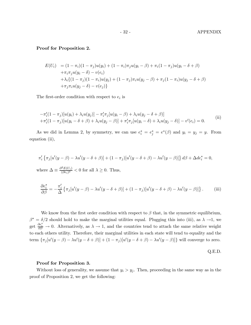#### Proof for Proposition 2.

$$
E(U_i) = (1 - \pi_i)(1 - \pi_j)u(y_i) + (1 - \pi_i)\pi_j u(y_i - \beta) + \pi_i (1 - \pi_j)u(y_i - \delta + \beta)
$$
  
+ 
$$
\pi_i \pi_j u(y_i - \delta) - v(e_i)
$$
  
+ 
$$
\lambda_i \{(1 - \pi_j)(1 - \pi_i)u(y_j) + (1 - \pi_j)\pi_i u(y_j - \beta) + \pi_j (1 - \pi_i)u(y_j - \delta + \beta)
$$
  
+ 
$$
\pi_j \pi_i u(y_j - \delta) - v(e_j)\}
$$

The first-order condition with respect to  $e_i$  is

$$
-\pi'_i(1-\pi_j)[u(y_i)+\lambda_i u(y_j)] - \pi'_i\pi_j[u(y_i-\beta)+\lambda_i u(y_j-\delta+\beta)]
$$
  
 
$$
+\pi'_i(1-\pi_j)[u(y_i-\delta+\beta)+\lambda_i u(y_j-\beta)] + \pi'_i\pi_j[u(y_i-\delta)+\lambda_i u(y_j-\delta)] - v'(e_i) = 0.
$$
 (ii)

As we did in Lemma 2, by symmetry, we can use  $e_i^* = e_j^* = e^*(\beta)$  and  $y_i = y_j = y$ . From equation (ii),

$$
\pi'_i \left\{ \pi_j[u'(y-\beta) - \lambda u'(y-\delta+\beta)] + (1-\pi_j)[u'(y-\delta+\beta) - \lambda u'(y-\beta)] \right\} d\beta + \Delta de_i^* = 0,
$$
  
where 
$$
\Delta \equiv \frac{\partial^2 E(U_i)}{(\partial e_i)^2} < 0
$$
 for all  $\lambda \ge 0$ . Thus,

$$
\frac{\partial e_i^*}{\partial \beta} = -\frac{\pi'_i}{\Delta} \left\{ \pi_j [u'(y-\beta) - \lambda u'(y-\delta+\beta)] + (1-\pi_j) [u'(y-\delta+\beta) - \lambda u'(y-\beta)] \right\}.
$$
 (iii)

We know from the first order condition with respect to  $\beta$  that, in the symmetric equilibrium,  $\beta^* = \delta/2$  should hold to make the marginal utilities equal. Plugging this into (iii), as  $\lambda \to 1$ , we get  $\frac{\partial e_i^*}{\partial \beta} \to 0$ . Alternatively, as  $\lambda \to 1$ , and the countries tend to attach the same relative weight to each others utility. Therefore, their marginal utilities in each state will tend to equality and the term  $\{\pi_j[u'(y-\beta) - \lambda u'(y-\delta+\beta)] + (1-\pi_j)[u'(y-\delta+\beta) - \lambda u'(y-\beta)]\}$  will converge to zero.

$$
Q.E.D.
$$

#### Proof for Proposition 3.

Without loss of generality, we assume that  $y_i > y_j$ . Then, proceeding in the same way as in the proof of Proposition 2, we get the following: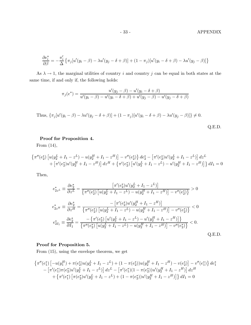$$
\frac{\partial e_i^*}{\partial \beta} = -\frac{\pi'_i}{\Delta} \left\{ \pi_j [u'(y_i - \beta) - \lambda u'(y_j - \delta + \beta)] + (1 - \pi_j) [u'(y_i - \delta + \beta) - \lambda u'(y_j - \beta)] \right\}
$$

As  $\lambda \to 1$ , the marginal utilities of country *i* and country *j* can be equal in both states at the same time, if and only if, the following holds:

$$
\pi_j(e^*) = \frac{u'(y_j - \beta) - u'(y_i - \delta + \beta)}{u'(y_i - \beta) - u'(y_i - \delta + \beta) + u'(y_j - \beta) - u'(y_j - \delta + \beta)}
$$

Thus, 
$$
\{\pi_j[u'(y_i - \beta) - \lambda u'(y_j - \delta + \beta)] + (1 - \pi_j)[u'(y_i - \delta + \beta) - \lambda u'(y_j - \beta)]\}\neq 0.
$$
  
Q.E.D.

## Proof for Proposition 4.

From (14),

$$
\begin{aligned} \left\{ \pi''(e_2^*) \left[ u(y_2^L + I_1 - z^L) - u(y_2^H + I_1 - z^H) \right] - v''(e_2^*) \right\} de_2^* - \left[ \pi'(e_2^*) u'(y_2^L + I_1 - z^L) \right] dz^L \\ + \left[ \pi'(e_2^*) u'(y_2^H + I_1 - z^H) \right] dz^H + \left\{ \pi'(e_2^*) \left[ u'(y_2^L + I_1 - z^L) - u'(y_2^H + I_1 - z^H) \right] \right\} dI_1 = 0 \end{aligned}
$$

Then,

$$
e_{2z}^{*} = \frac{\partial e_{2}^{*}}{\partial z^{L}} = \frac{\left[\pi'(e_{2}^{*})u'(y_{2}^{L} + I_{1} - z^{L})\right]}{\left\{\pi''(e_{2}^{*})\left[u(y_{2}^{L} + I_{1} - z^{L}) - u(y_{2}^{H} + I_{1} - z^{H})\right] - v''(e_{2}^{*})\right\}} > 0
$$
  
\n
$$
e_{2z}^{*} = \frac{\partial e_{2}^{*}}{\partial z^{H}} = \frac{-\left[\pi'(e_{2}^{*})u'(y_{2}^{H} + I_{1} - z^{H})\right]}{\left\{\pi''(e_{2}^{*})\left[u(y_{2}^{L} + I_{1} - z^{L}) - u(y_{2}^{H} + I_{1} - z^{H})\right] - v''(e_{2}^{*})\right\}} < 0
$$
  
\n
$$
e_{2I_{1}}^{*} = \frac{\partial e_{2}^{*}}{\partial I_{1}} = \frac{-\left\{\pi'(e_{2}^{*})\left[u'(y_{2}^{L} + I_{1} - z^{L}) - u'(y_{2}^{H} + I_{1} - z^{H})\right]\right\}}{\left\{\pi''(e_{2}^{*})\left[u(y_{2}^{L} + I_{1} - z^{L}) - u(y_{2}^{H} + I_{1} - z^{H})\right] - v''(e_{2}^{*})\right\}} < 0.
$$
  
\nQ.E.D.

## Proof for Proposition 5.

From (15), using the envelope theorem, we get

$$
\begin{aligned}\n\left\{\pi''(e_1^*) \left[ -u(y_1^H) + \pi(e_2^*)u(y_2^L + I_1 - z^L) + (1 - \pi(e_2^*))u(y_2^H + I_1 - z^H) - v(e_2^*) \right] - v''(e_1^*) \right\} de_1^* \\
&\quad - \left[ \pi'(e_1^*)\pi(e_2^*)u'(y_2^L + I_1 - z^L) \right] dz^L - \left[ \pi'(e_1^*)(1 - \pi(e_2^*))u'(y_2^H + I_1 - z^H) \right] dz^H \\
&\quad + \left\{ \pi'(e_1^*) \left[ \pi(e_2^*)u'(y_2^L + I_1 - z^L) + (1 - \pi(e_2^*))u'(y_2^H + I_1 - z^H) \right] \right\} dI_1 = 0\n\end{aligned}
$$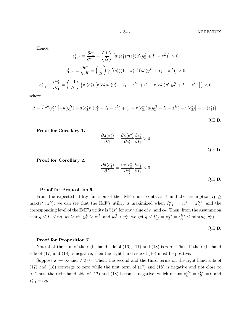Hence,

$$
e_{1z}^{*} = \frac{\partial e_1^{*}}{\partial z^{L}} = \left(\frac{1}{\Delta}\right) \left[\pi'(e_1^{*})\pi(e_2^{*})u'(y_2^{L} + I_1 - z^{L})\right] > 0
$$

$$
e_{1z}^{*} = \frac{\partial e_1^{*}}{\partial z^{H}} = \left(\frac{1}{\Delta}\right) \left[\pi'(e_1^{*})(1 - \pi(e_2^{*}))u'(y_2^{H} + I_1 - z^{H})\right] > 0
$$

$$
e_{1I_1}^{*} = \frac{\partial e_1^{*}}{\partial I_1} = \left(\frac{-1}{\Delta}\right) \left\{\pi'(e_1^{*})\left[\pi(e_2^{*})u'(y_2^{L} + I_1 - z^{L}) + (1 - \pi(e_2^{*}))u'(y_2^{H} + I_1 - z^{H})\right]\right\} < 0
$$

where

$$
\Delta = \left\{ \pi''(e_1^*) \left[ -u(y_1^H) + \pi(e_2^*)u(y_2^L + I_1 - z^L) + (1 - \pi(e_2^*))u(y_2^H + I_1 - z^H) - v(e_2^*) \right] - v''(e_1^*) \right\}.
$$
  
Q.E.D.

Proof for Corollary 1.

$$
\frac{\partial \pi(e_1^*)}{\partial I_1} = \frac{\partial \pi(e_1^*)}{\partial e_1^*} \frac{\partial e_1^*}{\partial I_1} > 0
$$
  
Q.E.D.

Proof for Corollary 2.

$$
\frac{\partial \pi(e_2^*)}{\partial I_1} = \frac{\partial \pi(e_2^*)}{\partial e_2^*} \frac{\partial e_2^*}{\partial I_1} > 0
$$
 Q.E.D.

#### Proof for Proposition 6.

From the expected utility function of the IMF under contract A and the assumption  $I_1 \geq$  $\max(z^H, z^L)$ , we can see that the IMF's utility is maximized when  $I_{1A}^* = z_A^{L*} = z_A^{H*}$ , and the corresponding level of the IMF's utility is  $\hat{u}(x)$  for any value of  $e_1$  and  $e_2$ . Then, from the assumption that  $q \leq I_1 \leq nq$ ,  $y_2^L \geq z^L$ ,  $y_2^H \geq z^H$ , and  $y_2^H > y_2^L$ , we get  $q \leq I_{1A}^* = z_A^{L*} = z_A^{H*} \leq \min(nq, y_2^L)$ .

$$
Q.E.D.
$$

#### Proof for Proposition 7.

Note that the sum of the right-hand side of (16), (17) and (18) is zero. Thus, if the right-hand side of (17) and (18) is negative, then the right-hand side of (16) must be positive.

Suppose  $x \to \infty$  and  $\theta \gg 0$ . Then, the second and the third terms on the right-hand side of (17) and (18) converge to zero while the first term of (17) and (18) is negative and not close to 0. Thus, the right-hand side of (17) and (18) becomes negative, which means  $z_B^{H*} = z_B^{L*} = 0$  and  $I_{1B}^* = nq.$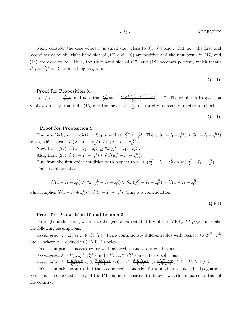#### - 35 - APPENDIX

Next, consider the case where  $x$  is small (i.e. close to 0). We know that now the first and second terms on the right-hand side of (17) and (18) are positive and the first terms in (17) and (18) are close to  $\infty$ . Thus, the right-hand side of (17) and (18) becomes positive, which means  $I_{1B}^* = z_B^{H*} = z_B^{L*} = q$  as long as  $q < x$ .

$$
Q.E.D.
$$

#### Proof for Proposition 8.

Let  $f(e) \equiv -\frac{v'(e)}{\pi'(e)}$ , and note that  $\frac{\partial f}{\partial e} = -\left[\frac{v''(e)\pi'(e) - \pi''(e)v'(e)}{\{\pi'(e)\}^2}\right]$  $\{\pi'(e)\}^2$  $\vert > 0$ . The results in Proposition 8 follow directly from (14), (15) and the fact that  $-\frac{v'}{\pi'}$  is a strictly increasing function of effort.

Q.E.D.

#### Proof for Proposition 9.

The proof is by contradiction. Suppose that  $z_C^{H*} \leq z_C^{L*}$ . Then,  $\widehat{u}(x - I_1 + z_C^{L*}) \geq \widehat{u}(x - I_1 + z_C^{H*})$ holds, which means  $\widehat{u}'(x - I_1 + z_C^{L*}) \leq \widehat{u}'(x - I_1 + z_C^{H*}).$ 

Now, from (22),  $\hat{u}'(x - I_1 + z_C^L) \ge \theta u'(y_2^L + I_1 - z_C^L)$ . Also, from (23),  $\hat{u}'(x - I_1 + z_C^H) \le \theta u'(y_2^H + I_1 - z_C^H)$ .

But, from the first order condition with respect to  $e_2$ ,  $u'(y_2^L + I_1 - z_C^L) > u'(y_2^H + I_1 - z_C^H)$ . Thus, it follows that

$$
\widehat{u}'(x - I_1 + z_C^L) \ge \theta u'(y_2^L + I_1 - z_C^L) > \theta u'(y_2^H + I_1 - z_C^H) \ge \widehat{u}'(x - I_1 + z_C^H),
$$

which implies  $\hat{u}'(x - I_1 + z_C^L) > \hat{u}'(x - I_1 + z_C^H)$ . This is a contradiction.

Q.E.D

#### Proof for Proposition 10 and Lemma 3.

Throughout the proof, we denote the general expected utility of the IMF by  $EU_{IMF}$ , and make the following assumptions:

Assumption 1.  $EU_{IMF} \in C_2$  (i.e. twice continuously differentiable) with respect to  $T^H$ ,  $T^L$ and  $\kappa$ , where  $\kappa$  is defined in (PART 1) below.

This assumption is necessary for well-behaved second-order conditions.

Assumption 2. 
$$
\{I_{1B}^*, z_B^{L*}, z_B^{H*}\}
$$
 and  $\{I_{1C}^*, z_C^{L*}, z_C^{H*}\}$  are interior solutions.  
Assumption 3.  $\frac{\partial^2 EU_{IMF}}{\partial (T^i)^2} < 0$ ,  $\frac{\partial^2 EU_{IMF}}{\partial T^i \partial T^j} > 0$ , and  $\left|\frac{\partial^2 EU_{IMF}}{\partial (T^i)^2}\right| > \frac{\partial^2 EU_{IMF}}{\partial T^i \partial T^j}$ ,  $i, j = H, L, i \neq j$ .

This assumption assures that the second-order condition for a maximum holds. It also guarantees that the expected utility of the IMF is more sensitive to its own wealth compared to that of the country.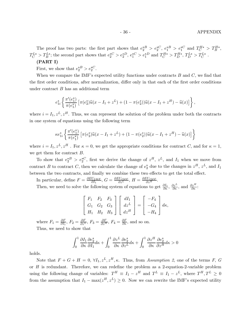The proof has two parts: the first part shows that  $e_2^*{}^B > e_2^*{}^C$ ,  $e_1^*{}^B > e_1^*{}^C$  and  $T_C^{H*} > T_B^{H*}$ ,  $T_C^{L*} > T_B^{L*}$ ; the second part shows that  $e_2^{\ast C} > e_2^{\ast D}$ ,  $e_1^{\ast C} > e_1^{\ast D}$  and  $T_C^{H*} > T_D^{H*}$ ,  $T_D^{L*} > T_C^{L*}$ .

## (PART I)

First, we show that  $e_2^{*B} > e_2^{*C}$ .

When we compare the IMF's expected utility functions under contracts  $B$  and  $C$ , we find that the first order conditions, after normalization, differ only in that each of the first order conditions under contract  $B$  has an additional term

$$
e_{1i}^* \left\{ \frac{\pi'(e_1^*)}{\pi(e_1^*)} \left[ \pi(e_2^*) \widehat{u}(x - I_1 + z^L) + (1 - \pi(e_2^*)) \widehat{u}(x - I_1 + z^H) - \widehat{u}(x) \right] \right\},\,
$$

where  $i = I_1, z^L, z^H$ . Thus, we can represent the solution of the problem under both the contracts in one system of equations using the following term

$$
\kappa e_{1i}^* \left\{ \frac{\pi'(e_1^*)}{\pi(e_1^*)} \left[ \pi(e_2^*) \widehat{u}(x - I_1 + z^L) + (1 - \pi(e_2^*)) \widehat{u}(x - I_1 + z^H) - \widehat{u}(x) \right] \right\}
$$

where  $i = I_1, z^L, z^H$ . For  $\kappa = 0$ , we get the appropriate conditions for contract C, and for  $\kappa = 1$ , we get them for contract  $B$ .

To show that  $e_2^* B > e_2^* C$ , first we derive the change of  $z^H$ ,  $z^L$ , and  $I_1$  when we move from contract B to contract C, then we calculate the change of  $e_2^*$  due to the changes in  $z^H$ ,  $z^L$ , and  $I_1$ between the two contracts, and finally we combine these two effects to get the total effect.

In particular, define  $F = \frac{\partial EU_{IMF}}{\partial I_1}$ ,  $G = \frac{\partial EU_{IMF}}{\partial z^L}$ ,  $H = \frac{\partial EU_{IMF}}{\partial z^H}$ .

Then, we need to solve the following system of equations to get  $\frac{\partial I_1}{\partial \kappa}$ ,  $\frac{\partial z^L}{\partial \kappa}$ , and  $\frac{\partial z^H}{\partial \kappa}$ :

$$
\begin{bmatrix} F_1 & F_2 & F_3 \\ G_1 & G_2 & G_3 \\ H_1 & H_2 & H_3 \end{bmatrix} \begin{bmatrix} dI_1 \\ dz^L \\ dz^H \end{bmatrix} = \begin{bmatrix} -F_4 \\ -G_4 \\ -H_4 \end{bmatrix} d\kappa,
$$

where  $F_1 = \frac{\partial F}{\partial I_1}$ ,  $F_2 = \frac{\partial F}{\partial z^L}$ ,  $F_3 = \frac{\partial F}{\partial z^H}$ ,  $F_4 = \frac{\partial F}{\partial \kappa}$ , and so on. Thus, we need to show that

$$
\int_0^1 \frac{\partial I_1}{\partial \kappa} \frac{\partial e_2^*}{\partial I_1} d\kappa + \int_0^1 \frac{\partial z^L}{\partial \kappa} \frac{\partial e_2^*}{\partial z^L} d\kappa + \int_0^1 \frac{\partial z^H}{\partial \kappa} \frac{\partial e_2^*}{\partial z^H} d\kappa > 0
$$

holds.

Note that  $F + G + H = 0$ ,  $\forall I_1, z^L, z^H, \kappa$ . Thus, from Assumption 2, one of the terms F, G or  $H$  is redundant. Therefore, we can redefine the problem as a 2-equation-2-variable problem using the following change of variables:  $T^H \equiv I_1 - z^H$  and  $T^L \equiv I_1 - z^L$ , where  $T^H, T^L \ge 0$ from the assumption that  $I_1 - \max(z^H, z^L) \geq 0$ . Now we can rewrite the IMF's expected utility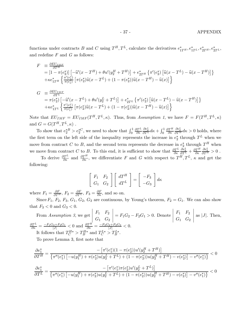- 37 - APPENDIX

functions under contracts B and C using  $T^H, T^L$ , calculate the derivatives  $e^*_{1T^H}, e^*_{1T^L}, e^*_{2T^H}, e^*_{2T^L}$ , and redefine  $F$  and  $G$  as follows:

$$
F = \frac{\partial EU_{IMF}}{\partial T^H}
$$
  
=  $\left[1 - \pi(e_2^*)\right] \left[-\widehat{u}'(x - T^H) + \theta u'(y_2^H + T^H)\right] + e_{2T^H}^* \left\{\pi'(e_2^*) \left[\widehat{u}(x - T^L) - \widehat{u}(x - T^H)\right]\right\}$   
+  $\kappa e_{1T^H}^* \left\{\frac{\pi'(e_1^*)}{\pi(e_1^*)} \left[\pi(e_2^*)\widehat{u}(x - T^L) + (1 - \pi(e_2^*))\widehat{u}(x - T^H) - \widehat{u}(x)\right]\right\}$ 

$$
G = \frac{\partial EU_{IMF}}{\partial T^L}
$$
  
=  $\pi(e_2^*) \left[ -\hat{u}'(x - T^L) + \theta u'(y_2^L + T^L) \right] + e_{2T^L}^* \left\{ \pi'(e_2^*) \left[ \hat{u}(x - T^L) - \hat{u}(x - T^H) \right] \right\}$   
+  $\kappa e_{1T^L}^* \left\{ \frac{\pi'(e_1^*)}{\pi(e_1^*)} \left[ \pi(e_2^*) \hat{u}(x - T^L) + (1 - \pi(e_2^*)) \hat{u}(x - T^H) - \hat{u}(x) \right] \right\}$ 

Note that  $EU_{IMF} = EU_{IMF}(T^H, T^L, \kappa)$ . Thus, from Assumption 1, we have  $F = F(T^H, T^L, \kappa)$ and  $G = G(T^H, T^L, \kappa)$ .

To show that  $e_2^{*B} > e_2^{*C}$ , we need to show that  $\int_0^1 \frac{\partial T^L}{\partial \kappa}$  $\partial \kappa$  $\frac{\partial e_2^*}{\partial T^L} d\kappa + \int_0^1 \frac{\partial T^H}{\partial \kappa}$  $\partial \kappa$  $\frac{\partial e_2^*}{\partial T^H} d\kappa > 0$  holds, where the first term on the left side of the inequality represents the increase in  $e_2^*$  through  $T^L$  when we move from contract C to B, and the second term represents the decrease in  $e_2^*$  through  $T^H$  when we move from contract C to B. To this end, it is sufficient to show that  $\frac{\partial T^L}{\partial \kappa}$  $\frac{\partial e_2^*}{\partial T^L} + \frac{\partial T^H}{\partial \kappa}$  $\frac{\partial e_2^*}{\partial T^H} > 0$ .

To derive  $\frac{\partial T^L}{\partial \kappa}$  and  $\frac{\partial T^H}{\partial \kappa}$ , we differentiate F and G with respect to  $T^H, T^L, \kappa$  and get the following:

$$
\left[\begin{array}{cc} F_1 & F_2 \\ G_1 & G_2 \end{array}\right] \left[\begin{array}{c} dT^H \\ dT^L \end{array}\right] = \left[\begin{array}{c} -F_3 \\ -G_3 \end{array}\right] d\kappa
$$

where  $F_1 = \frac{\partial F}{\partial T^H}$ ,  $F_2 = \frac{\partial F}{\partial T^L}$ ,  $F_3 = \frac{\partial F}{\partial \kappa}$ , and so on.

Since  $F_1$ ,  $F_2$ ,  $F_3$ ,  $G_1$ ,  $G_2$ ,  $G_3$  are continuous, by Young's theorem,  $F_2 = G_1$ . We can also show that  $F_3 < 0$  and  $G_3 < 0$ .

From Assumption 3, we get 
$$
\begin{vmatrix} F_1 & F_2 \ G_1 & G_2 \end{vmatrix} = F_1G_2 - F_2G_1 > 0.
$$
 Denote 
$$
\begin{vmatrix} F_1 & F_2 \ G_1 & G_2 \end{vmatrix}
$$
 as |J|. Then, 
$$
\frac{\partial T^L}{\partial \kappa} = \frac{-F_1G_3 + F_3G_1}{|J|} < 0
$$
 and 
$$
\frac{\partial T^H}{\partial \kappa} = \frac{-F_3G_2 + F_2G_3}{|J|} < 0.
$$
It follows that  $T_C^{H*} > T_B^{H*}$  and  $T_C^{L*} > T_B^{L*}$ .

To prove Lemma 3, first note that

$$
\frac{\partial e_1^*}{\partial T^H} = \frac{-\left[\pi'(e_1^*)(1-\pi(e_2^*))u'(y_2^H + T^H)\right]}{\left\{\pi''(e_1^*)\left[-u(y_1^H) + \pi(e_2^*)u(y_2^L + T^L) + (1-\pi(e_2^*))u(y_2^H + T^H) - v(e_2^*)\right] - v''(e_1^*)\right\}} < 0
$$
  

$$
\frac{\partial e_1^*}{\partial T^L} = \frac{-\left[\pi'(e_1^*)\pi(e_2^*)u'(y_2^L + T^L)\right]}{\left\{\pi''(e_1^*)\left[-u(y_1^H) + \pi(e_2^*)u(y_2^L + T^L) + (1-\pi(e_2^*))u(y_2^H + T^H) - v(e_2^*)\right] - v''(e_1^*)\right\}} < 0
$$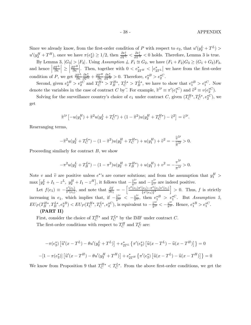#### - 38 - **APPENDIX**

Since we already know, from the first-order condition of P with respect to  $e_2$ , that  $u'(y_2^L + T^L)$  $u'(y_2^H + T^H)$ , once we have  $\pi(e_2^*) \ge 1/2$ , then  $\frac{\partial e_1^*}{\partial T^L} < \frac{\partial e_1^*}{\partial T^H} < 0$  holds. Therefore, Lemma 3 is true.

By Lemma 3,  $|G_3| > |F_3|$ . Using Assumption 4,  $F_1 \cong G_2$ , we have  $(F_1 + F_2)G_3 \geq (G_1 + G_2)F_3$ . and hence  $\vert$  $\partial T^L$  $\partial \kappa$  $\vert \geq \vert$  $\partial T^H$  $\partial \kappa$ Then, together with  $0 < e_{2T^H}^* < |e_{2T^L}^*|$  we have from the first-order condition of P, we get  $\frac{\partial T^L}{\partial \kappa}$  $\frac{\partial e_2^*}{\partial T^L} + \frac{\partial T^H}{\partial \kappa}$  $\frac{\partial e_2^*}{\partial T^H} > 0$ . Therefore,  $e_2^{*B} > e_2^{*C}$ .

Second, given  $e_2^* B > e_2^* C$  and  $T_C^{H*} > T_B^{H*}$ ,  $T_C^{L*} > T_B^{L*}$ , we have to show that  $e_1^* B > e_1^* C$ . Now denote the variables in the case of contract C by. For example,  $\tilde{\pi}^{1} \equiv \pi'(e_1^{*C})$  and  $\tilde{v}^2 \equiv v(e_2^{*C})$ .

Solving for the surveillance country's choice of  $e_1$  under contract C, given  $(T_C^{H*}, T_C^{L*}, e_2^{*C})$ , we get

$$
\tilde{\pi}^{1\prime}\left[-u(y_1^H) + \tilde{\pi}^2 u(y_2^L + T_C^{L*}) + (1 - \tilde{\pi}^2)u(y_2^H + T_C^{H*}) - \tilde{v}^2\right] = \tilde{v}^{1\prime}.
$$

Rearranging terms,

$$
-\tilde{\pi}^2 u(y_2^L + T_C^{L*}) - (1 - \tilde{\pi}^2) u(y_2^H + T_C^{H*}) + u(y_1^H) + \tilde{v}^2 = -\frac{\tilde{v}^1}{\tilde{\pi}^{1/2}} > 0.
$$

Proceeding similarly for contract  $B$ , we show

$$
-\pi^{2}u(y_{2}^{L}+T_{B}^{L*}) - (1-\pi^{2})u(y_{2}^{H}+T_{B}^{H*}) + u(y_{1}^{H}) + v^{2} = -\frac{v^{1}}{\pi^{1}} > 0.
$$

Note v and  $\tilde{v}$  are positive unless  $e^{*}$ 's are corner solutions; and from the assumption that  $y_1^H$ Note v and  $\tilde{v}$  are positive unless  $e^*$ 's are corner solutions; and from the assumption that  $y_1^H$  >  $\max [y_2^L + I_1 - z^L, y_2^H + I_1 - z^H],$  it follows that  $-\frac{\tilde{v}^{1}}{\tilde{\pi}^{1}}$  and  $-\frac{v^{1}}{\tilde{\pi}^{1}}$  are indeed positive. Let  $f(e_1) \equiv -\frac{v'(e_1)}{\pi'(e_1)}$ , and note that  $\frac{\partial f}{\partial e_1} = -\left[\frac{v''(e_1)\pi'(e_1) - \pi''(e_1)v'(e_1)}{\{\pi'(e_1)\}^2}\right]$  $\Big] > 0$ . Thus, f is strictly

 $\{\pi'(e_1)\}^2$ increasing in e<sub>1</sub>, which implies that, if  $-\frac{\tilde{v}^{1}}{\tilde{\pi}^{1}} < -\frac{v^{1}}{\pi^{1}}$ , then  $e_1^*^B > e_1^*^C$ . But Assumption 5,  $EU_P(T_B^{H*}, T_B^{L*}, e_2^{*B}) < EU_P(T_C^{H*}, T_C^{L*}, e_2^{*C})$ , is equivalent to  $-\frac{\tilde{v}^{1}}{\tilde{\pi}^{1}} < -\frac{v^{1'}}{\pi^{1}}$ . Hence,  $e_1^{*B} > e_1^{*C}$ .

#### (PART II)

First, consider the choice of  $T_C^{H*}$  and  $T_C^{L*}$  by the IMF under contract C. The first-order conditions with respect to  $T_C^H$  and  $T_C^L$  are:

$$
-\pi(e_2^*)\left[\hat{u}'(x-T^L) - \theta u'(y_2^L + T^L)\right] + e_{2T^L}^* \left\{\pi'(e_2^*)\left[\hat{u}(x-T^L) - \hat{u}(x-T^H)\right]\right\} = 0
$$
  
-
$$
[1 - \pi(e_2^*)]\left[\hat{u}'(x-T^H) - \theta u'(y_2^H + T^H)\right] + e_{2T^H}^* \left\{\pi'(e_2^*)\left[\hat{u}(x-T^L) - \hat{u}(x-T^H)\right]\right\} = 0
$$

We know from Proposition 9 that  $T_C^{H*} < T_C^{L*}$ . From the above first-order conditions, we get the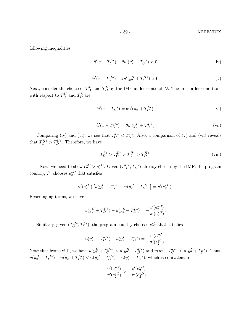#### - 39 - **APPENDIX**

following inequalities:

$$
\hat{u}'(x - T_C^{L*}) - \theta u'(y_2^L + T_C^{L*}) < 0 \tag{iv}
$$

$$
\widehat{u}'(x - T_C^{H*}) - \theta u'(y_2^H + T_C^{H*}) > 0
$$
 (v)

Next, consider the choice of  $T_D^H$  and  $T_D^L$  by the IMF under contract D. The first-order conditions with respect to  $T_D^H$  and  $T_D^L$  are:

$$
\widehat{u}'(x - T_D^{L*}) = \theta u'(y_2^L + T_D^{L*})
$$
\n(vi)

$$
\widehat{u}'(x - T_D^{H*}) = \theta u'(y_2^H + T_D^{H*})
$$
\n(vii)

Comparing (iv) and (vi), we see that  $T_C^{L*} < T_D^{L*}$ . Also, a comparison of (v) and (vii) reveals that  $T_C^{H*} > T_D^{H*}$ . Therefore, we have

$$
T_D^{L*} > T_C^{L*} > T_C^{H*} > T_D^{H*}.
$$
\n(viii)

.

Now, we need to show  $e_2^{\ast C} > e_2^{\ast D}$ . Given  $(T_D^{H*}, T_D^{L*})$  already chosen by the IMF, the program country, P, chooses  $e_2^*{}^D$  that satisfies

$$
\pi'(e_2^*^D) \left[ u(y_2^L + T_D^{L*}) - u(y_2^H + T_D^{H*}) \right] = v'(e_2^*^D).
$$

Rearranging terms, we have

$$
u(y_2^H + T_D^{H*}) - u(y_2^L + T_D^{L*}) = -\frac{v'(e_2^{*D})}{\pi'(e_2^{*D})}.
$$

Similarly, given  $(T_C^{H*}, T_C^{L*})$ , the program country chooses  $e_2^{\ast C}$  that satisfies

$$
u(y_2^H + T_C^{H*}) - u(y_2^L + T_C^{L*}) = -\frac{v'(e_2^{*C})}{\pi'(e_2^{*C})}
$$

Note that from (viii), we have  $u(y_2^H + T_C^{H*}) > u(y_2^H + T_D^{H*})$  and  $u(y_2^L + T_C^{L*}) < u(y_2^L + T_D^{L*})$ . Thus,  $u(y_2^H + T_D^{H*}) - u(y_2^L + T_D^{L*}) < u(y_2^H + T_C^{H*}) - u(y_2^L + T_C^{L*}),$  which is equivalent to

$$
-\frac{v'(e_2^{*C})}{\pi'(e_2^{*C})} > -\frac{v'(e_2^{*D})}{\pi'(e_2^{*D})}.
$$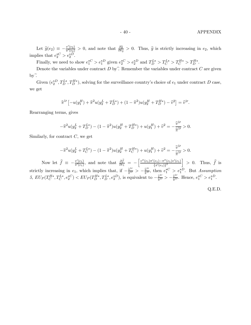Let  $\hat{g}(e_2) \equiv -\frac{v'(e_2)}{\pi'(e_2)} > 0$ , and note that  $\frac{\partial \hat{g}}{\partial e_2} > 0$ . Thus,  $\hat{g}$  is strictly increasing in  $e_2$ , which implies that  $e_2^{*C} > e_2^{*D}$ .

Finally, we need to show  $e_1^{*C} > e_1^{*D}$  given  $e_2^{*C} > e_2^{*D}$  and  $T_D^{L*} > T_C^{L*} > T_C^{H*} > T_D^{H*}$ .

Denote the variables under contract  $D$  by. Remember the variables under contract  $C$  are given by $\widetilde{\cdot}$ .

Given  $(e_2^{*D}, T_D^{L*}, T_D^{H*})$ , solving for the surveillance country's choice of  $e_1$  under contract D case, we get

$$
\widehat{\pi}^{1\prime}\left[-u(y_1^H) + \widehat{\pi}^2 u(y_2^L + T_D^{L*}) + (1 - \widehat{\pi}^2)u(y_2^H + T_D^{H*}) - \widehat{v}^2\right] = \widehat{v}^{1\prime}.
$$

Rearranging terms, gives

$$
-\widehat{\pi}^2 u(y_2^L + T_D^{L*}) - (1 - \widehat{\pi}^2) u(y_2^H + T_D^{H*}) + u(y_1^H) + \widehat{v}^2 = -\frac{\widehat{v}^{1\prime}}{\widehat{\pi}^{1\prime}} > 0.
$$

Similarly, for contract  $C$ , we get

$$
-\tilde{\pi}^2 u(y_2^L + T_C^{L*}) - (1 - \tilde{\pi}^2) u(y_2^H + T_C^{H*}) + u(y_1^H) + \tilde{v}^2 = -\frac{\tilde{v}^H}{\tilde{\pi}^H} > 0.
$$

Now let  $\hat{f} \equiv -\frac{v'(e_1)}{\pi'(e_1)}$ , and note that  $\frac{\partial \hat{f}}{\partial e_1} = -\left[\frac{v''(e_1)\pi'(e_1)-\pi''(e_1)v'(e_1)}{\{\pi'(e_1)\}^2}\right]$  $\{\pi'(e_1)\}^2$ | > 0. Thus,  $\hat{f}$  is strictly increasing in  $e_1$ , which implies that, if  $-\frac{\tilde{v}^{1}}{\tilde{\pi}^{1}} > -\frac{\tilde{v}^{1}}{\tilde{\pi}^{1}}$ , then  $e_1^{*C} > e_1^{*D}$ . But Assumption 5,  $EU_P(T_C^{H*}, T_C^{L*}, e_2^{*C}) < EU_P(T_D^{H*}, T_D^{L*}, e_2^{*D})$ , is equivalent to  $-\frac{\tilde{v}^{1}}{\tilde{\pi}^{1}} > -\frac{\tilde{v}^{1'}}{\tilde{\pi}^{1'}}$ . Hence,  $e_1^{*C} > e_1^{*D}$ .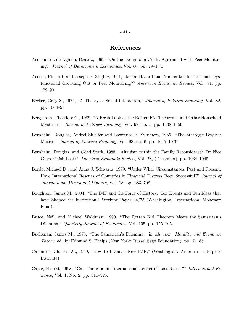## References

- Armendariz de Aghion, Beatriz, 1999, "On the Design of a Credit Agreement with Peer Monitoring," Journal of Development Economics, Vol. 60, pp. 79—104.
- Arnott, Richard, and Joseph E. Stiglitz, 1991, "Moral Hazard and Nonmarket Institutions: Dysfunctional Crowding Out or Peer Monitoring?" American Economic Review, Vol. 81, pp. 179—90.
- Becker, Gary S., 1974, "A Theory of Social Interaction," *Journal of Political Economy*, Vol. 82, pp. 1063—93.
- Bergstrom, Theodore C., 1989, "A Fresh Look at the Rotten Kid Theorem–and Other Household Mysteries," Journal of Political Economy, Vol. 97, no. 5, pp. 1138—1159.
- Bernheim, Douglas, Andrei Shleifer and Lawrence E. Summers, 1985, "The Strategic Bequest Motive," Journal of Political Economy, Vol. 93, no. 6, pp. 1045—1076.
- Bernheim, Douglas, and Oded Stark, 1988, "Altruism within the Family Reconsidered: Do Nice Guys Finish Last?" American Economic Review, Vol. 78, (December), pp. 1034—1045.
- Bordo, Michael D., and Anna J. Schwartz, 1999, "Under What Circumstances, Past and Present, Have International Rescues of Countries in Financial Distress Been Successful?" Journal of International Money and Finance, Vol. 18, pp. 683—708.
- Boughton, James M., 2004, "The IMF and the Force of History: Ten Events and Ten Ideas that have Shaped the Institution," Working Paper 04/75 (Washington: International Monetary Fund).
- Bruce, Neil, and Michael Waldman, 1990, "The Rotten Kid Theorem Meets the Samaritan's Dilemma," Quarterly Journal of Economics, Vol. 105, pp. 155–165.
- Buchanan, James M., 1975, "The Samaritan's Dilemma," in Altruism, Morality and Economic Theory, ed. by Edmund S. Phelps (New York: Russel Sage Foundation), pp. 71—85.
- Calomiris, Charles W., 1999, "How to Invent a New IMF," (Washington: American Enterprise Institute).
- Capie, Forrest, 1998, "Can There be an International Lender-of-Last-Resort?" International Finance, Vol. 1, No. 2, pp. 311—325.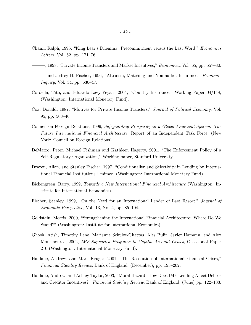- Chami, Ralph, 1996, "King Lear's Dilemma: Precommitment versus the Last Word," Economics Letters, Vol. 52, pp. 171—76.
- –––, 1998, "Private Income Transfers and Market Incentives," Economica, Vol. 65, pp. 557—80.
- and Jeffrey H. Fischer, 1996, "Altruism, Matching and Nonmarket Insurance," Economic Inquiry, Vol. 34, pp. 630—47.
- Cordella, Tito, and Eduardo Levy-Yeyati, 2004, "Country Insurance," Working Paper 04/148, (Washington: International Monetary Fund).
- Cox, Donald, 1987, "Motives for Private Income Transfers," Journal of Political Economy, Vol. 95, pp. 508—46.
- Council on Foreign Relations, 1999, Safeguarding Prosperity in a Global Financial System: The Future International Financial Architecture, Report of an Independent Task Force, (New York: Council on Foreign Relations).
- DeMarzo, Peter, Michael Fishman and Kathleen Hagerty, 2001, "The Enforcement Policy of a Self-Regulatory Organization," Working paper, Stanford University.
- Drazen, Allan, and Stanley Fischer, 1997, "Conditionality and Selectivity in Lending by International Financial Institutions," mimeo, (Washington: International Monetary Fund).
- Eichengreen, Barry, 1999, Towards a New International Financial Architecture (Washington: Institute for International Economics).
- Fischer, Stanley, 1999, "On the Need for an International Lender of Last Resort," Journal of Economic Perspective, Vol. 13, No. 4, pp. 85—104.
- Goldstein, Morris, 2000, "Strengthening the International Financial Architecture: Where Do We Stand?" (Washington: Institute for International Economics).
- Ghosh, Atish, Timothy Lane, Marianne Schulze-Ghattas, Ales Bulir, Javier Hamann, and Alex Mourmouras, 2002, IMF-Supported Programs in Capital Account Crises, Occasional Paper 210 (Washington: International Monetary Fund).
- Haldane, Andrew, and Mark Kruger, 2001, "The Resolution of International Financial Crises," Financial Stability Review, Bank of England, (December), pp. 193—202.
- Haldane, Andrew, and Ashley Taylor, 2003, "Moral Hazard: How Does IMF Lending Affect Debtor and Creditor Incentives?" Financial Stability Review, Bank of England, (June) pp. 122—133.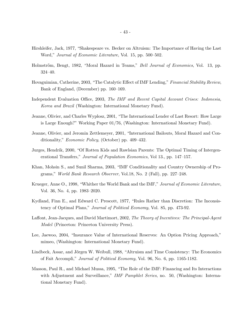- Hirshleifer, Jack, 1977, "Shakespeare vs. Becker on Altruism: The Importance of Having the Last Word," Journal of Economic Literature, Vol. 15, pp. 500—502.
- Holmstrőm, Bengt, 1982, "Moral Hazard in Teams," Bell Journal of Economics, Vol. 13, pp. 324—40.
- Hovaguimian, Catherine, 2003, "The Catalytic Effect of IMF Lending," Financial Stability Review, Bank of England, (December) pp. 160—169.
- Independent Evaluation Office, 2003, The IMF and Recent Capital Account Crises: Indonesia, Korea and Brazil (Washington: International Monetary Fund).
- Jeanne, Olivier, and Charles Wyplosz, 2001, "The International Lender of Last Resort: How Large is Large Enough?" Working Paper 01/76, (Washington: International Monetary Fund).
- Jeanne, Olivier, and Jeromin Zettlemeyer, 2001, "International Bailouts, Moral Hazard and Conditionality," Economic Policy, (October) pp. 409—432.
- Jurges, Hendrik, 2000, "Of Rotten Kids and Rawlsian Parents: The Optimal Timing of Intergenerational Transfers," Journal of Population Economics, Vol 13., pp. 147—157.
- Khan, Mohsin S., and Sunil Sharma, 2003, "IMF Conditionality and Country Ownership of Programs," World Bank Research Observer, Vol.18, No. 2 (Fall), pp. 227—248.
- Krueger, Anne O., 1998, "Whither the World Bank and the IMF," Journal of Economic Literature, Vol. 36, No. 4, pp. 1983—2020.
- Kydland, Finn E., and Edward C. Prescott, 1977, "Rules Rather than Discretion: The Inconsistency of Optimal Plans," Journal of Political Economy, Vol. 85, pp. 473-92.
- Laffont, Jean-Jacques, and David Martimort, 2002, The Theory of Incentives: The Principal-Agent Model (Princeton: Princeton University Press).
- Lee, Jaewoo, 2004, "Insurance Value of International Reserves: An Option Pricing Approach," mimeo, (Washington: International Monetary Fund).
- Lindbeck, Assar, and Jőrgen W. Weibull, 1988, "Altruism and Time Consistency: The Economics of Fait Accompli," Journal of Political Economy, Vol. 96, No. 6, pp. 1165-1182.
- Masson, Paul R., and Michael Mussa, 1995, "The Role of the IMF: Financing and Its Interactions with Adjustment and Surveillance," IMF Pamphlet Series, no. 50, (Washington: International Monetary Fund).